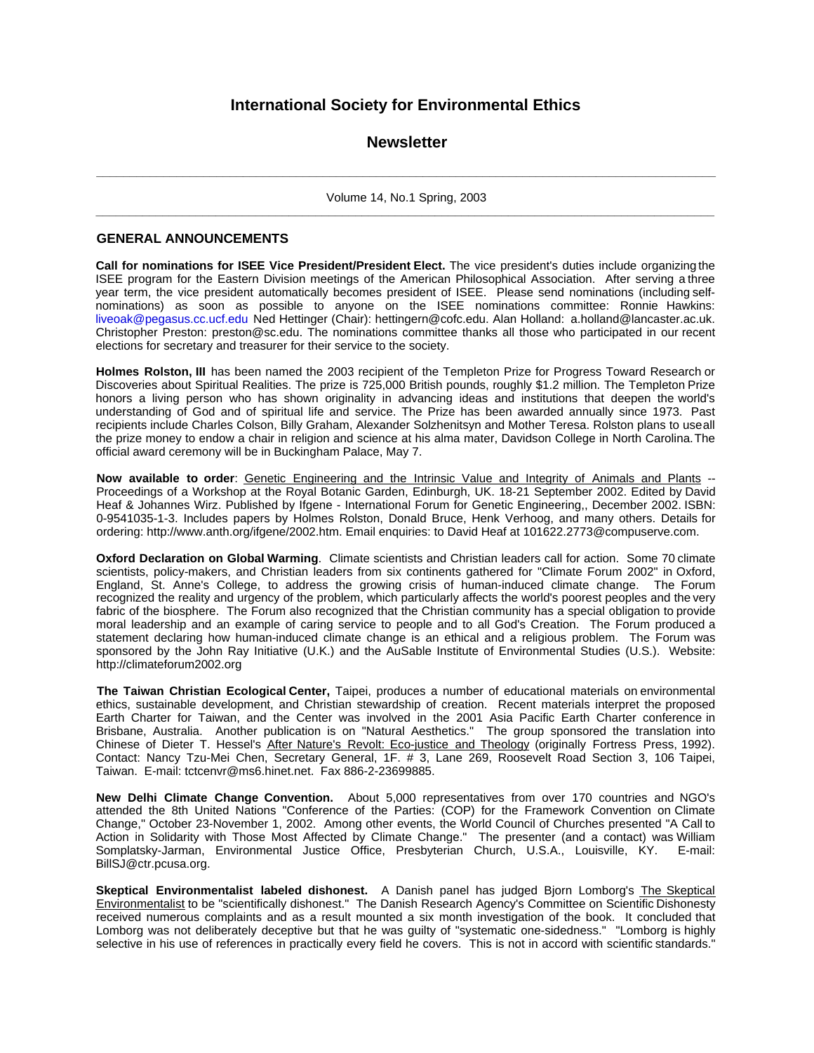# **International Society for Environmental Ethics**

# **Newsletter**

**\_ \_ \_ \_ \_ \_ \_ \_ \_ \_ \_ \_ \_ \_ \_ \_ \_ \_ \_ \_ \_ \_ \_ \_ \_ \_ \_ \_ \_ \_ \_ \_ \_ \_ \_ \_ \_ \_ \_ \_ \_ \_ \_ \_ \_ \_ \_ \_ \_ \_ \_ \_ \_ \_ \_ \_ \_ \_ \_ \_ \_ \_ \_ \_ \_ \_ \_ \_ \_ \_ \_ \_ \_ \_ \_ \_ \_ \_ \_ \_ \_ \_ \_ \_ \_ \_ \_ \_ \_ \_ \_ \_ \_**

Volume 14, No.1 Spring, 2003 **\_\_\_\_\_\_\_\_\_\_\_\_\_\_\_\_\_\_\_\_\_\_\_\_\_\_\_\_\_\_\_\_\_\_\_\_\_\_\_\_\_\_\_\_\_\_\_\_\_\_\_\_\_\_\_\_\_\_\_\_\_\_\_\_\_\_\_\_\_\_\_\_\_\_\_\_\_\_\_\_\_\_\_\_\_\_\_\_\_\_\_\_\_**

# **GENERAL ANNOUNCEMENTS**

**Call for nominations for ISEE Vice President/President Elect.** The vice president's duties include organizing the ISEE program for the Eastern Division meetings of the American Philosophical Association. After serving a three year term, the vice president automatically becomes president of ISEE. Please send nominations (including selfnominations) as soon as possible to anyone on the ISEE nominations committee: Ronnie Hawkins: liveoak@pegasus.cc.ucf.edu Ned Hettinger (Chair): hettingern@cofc.edu. Alan Holland: a.holland@lancaster.ac.uk. Christopher Preston: preston@sc.edu. The nominations committee thanks all those who participated in our recent elections for secretary and treasurer for their service to the society.

**Holmes Rolston, III** has been named the 2003 recipient of the Templeton Prize for Progress Toward Research or Discoveries about Spiritual Realities. The prize is 725,000 British pounds, roughly \$1.2 million. The Templeton Prize honors a living person who has shown originality in advancing ideas and institutions that deepen the world's understanding of God and of spiritual life and service. The Prize has been awarded annually since 1973. Past recipients include Charles Colson, Billy Graham, Alexander Solzhenitsyn and Mother Teresa. Rolston plans to use all the prize money to endow a chair in religion and science at his alma mater, Davidson College in North Carolina. The official award ceremony will be in Buckingham Palace, May 7.

**Now available to order**: Genetic Engineering and the Intrinsic Value and Integrity of Animals and Plants -- Proceedings of a Workshop at the Royal Botanic Garden, Edinburgh, UK. 18-21 September 2002. Edited by David Heaf & Johannes Wirz. Published by Ifgene - International Forum for Genetic Engineering,, December 2002. ISBN: 0-9541035-1-3. Includes papers by Holmes Rolston, Donald Bruce, Henk Verhoog, and many others. Details for ordering: http://www.anth.org/ifgene/2002.htm. Email enquiries: to David Heaf at 101622.2773@compuserve.com.

**Oxford Declaration on Global Warming**. Climate scientists and Christian leaders call for action. Some 70 climate scientists, policy-makers, and Christian leaders from six continents gathered for "Climate Forum 2002" in Oxford, England, St. Anne's College, to address the growing crisis of human-induced climate change. The Forum recognized the reality and urgency of the problem, which particularly affects the world's poorest peoples and the very fabric of the biosphere. The Forum also recognized that the Christian community has a special obligation to provide moral leadership and an example of caring service to people and to all God's Creation. The Forum produced a statement declaring how human-induced climate change is an ethical and a religious problem. The Forum was sponsored by the John Ray Initiative (U.K.) and the AuSable Institute of Environmental Studies (U.S.). Website: http://climateforum2002.org

**The Taiwan Christian Ecological Center,** Taipei, produces a number of educational materials on environmental ethics, sustainable development, and Christian stewardship of creation. Recent materials interpret the proposed Earth Charter for Taiwan, and the Center was involved in the 2001 Asia Pacific Earth Charter conference in Brisbane, Australia. Another publication is on "Natural Aesthetics." The group sponsored the translation into Chinese of Dieter T. Hessel's After Nature's Revolt: Eco-justice and Theology (originally Fortress Press, 1992). Contact: Nancy Tzu-Mei Chen, Secretary General, 1F. # 3, Lane 269, Roosevelt Road Section 3, 106 Taipei, Taiwan. E-mail: tctcenvr@ms6.hinet.net. Fax 886-2-23699885.

**New Delhi Climate Change Convention.** About 5,000 representatives from over 170 countries and NGO's attended the 8th United Nations "Conference of the Parties: (COP) for the Framework Convention on Climate Change," October 23-November 1, 2002. Among other events, the World Council of Churches presented "A Call to Action in Solidarity with Those Most Affected by Climate Change." The presenter (and a contact) was William Somplatsky-Jarman, Environmental Justice Office, Presbyterian Church, U.S.A., Louisville, KY. E-mail: BillSJ@ctr.pcusa.org.

**Skeptical Environmentalist labeled dishonest.** A Danish panel has judged Bjorn Lomborg's The Skeptical Environmentalist to be "scientifically dishonest." The Danish Research Agency's Committee on Scientific Dishonesty received numerous complaints and as a result mounted a six month investigation of the book. It concluded that Lomborg was not deliberately deceptive but that he was guilty of "systematic one-sidedness." "Lomborg is highly selective in his use of references in practically every field he covers. This is not in accord with scientific standards."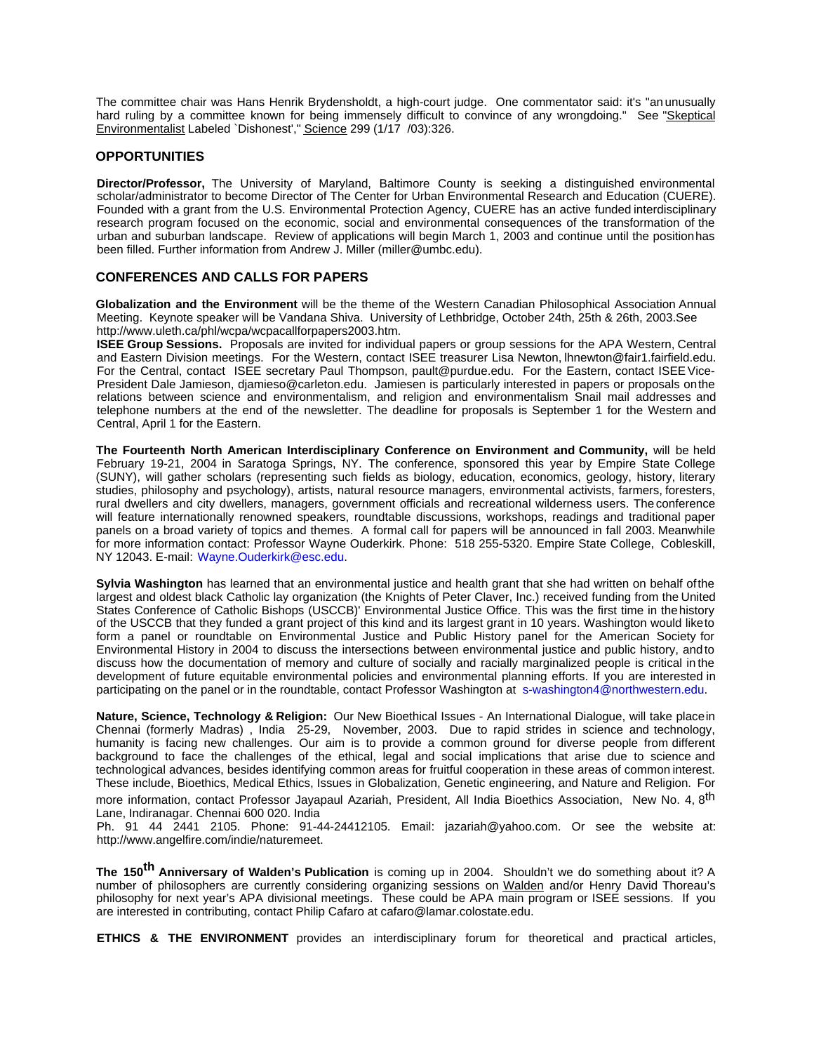The committee chair was Hans Henrik Brydensholdt, a high-court judge. One commentator said: it's "an unusually hard ruling by a committee known for being immensely difficult to convince of any wrongdoing." See "Skeptical Environmentalist Labeled `Dishonest'," Science 299 (1/17 /03):326.

# **OPPORTUNITIES**

**Director/Professor,** The University of Maryland, Baltimore County is seeking a distinguished environmental scholar/administrator to become Director of The Center for Urban Environmental Research and Education (CUERE). Founded with a grant from the U.S. Environmental Protection Agency, CUERE has an active funded interdisciplinary research program focused on the economic, social and environmental consequences of the transformation of the urban and suburban landscape. Review of applications will begin March 1, 2003 and continue until the position has been filled. Further information from Andrew J. Miller (miller@umbc.edu).

# **CONFERENCES AND CALLS FOR PAPERS**

**Globalization and the Environment** will be the theme of the Western Canadian Philosophical Association Annual Meeting. Keynote speaker will be Vandana Shiva. University of Lethbridge, October 24th, 25th & 26th, 2003.See http://www.uleth.ca/phl/wcpa/wcpacallforpapers2003.htm.

**ISEE Group Sessions.** Proposals are invited for individual papers or group sessions for the APA Western, Central and Eastern Division meetings. For the Western, contact ISEE treasurer Lisa Newton, lhnewton@fair1.fairfield.edu. For the Central, contact ISEE secretary Paul Thompson, pault@purdue.edu. For the Eastern, contact ISEE Vice-President Dale Jamieson, djamieso@carleton.edu. Jamiesen is particularly interested in papers or proposals on the relations between science and environmentalism, and religion and environmentalism Snail mail addresses and telephone numbers at the end of the newsletter. The deadline for proposals is September 1 for the Western and Central, April 1 for the Eastern.

**The Fourteenth North American Interdisciplinary Conference on Environment and Community,** will be held February 19-21, 2004 in Saratoga Springs, NY. The conference, sponsored this year by Empire State College (SUNY), will gather scholars (representing such fields as biology, education, economics, geology, history, literary studies, philosophy and psychology), artists, natural resource managers, environmental activists, farmers, foresters, rural dwellers and city dwellers, managers, government officials and recreational wilderness users. The conference will feature internationally renowned speakers, roundtable discussions, workshops, readings and traditional paper panels on a broad variety of topics and themes. A formal call for papers will be announced in fall 2003. Meanwhile for more information contact: Professor Wayne Ouderkirk. Phone: 518 255-5320. Empire State College, Cobleskill, NY 12043. E-mail: Wayne.Ouderkirk@esc.edu.

**Sylvia Washington** has learned that an environmental justice and health grant that she had written on behalf of the largest and oldest black Catholic lay organization (the Knights of Peter Claver, Inc.) received funding from the United States Conference of Catholic Bishops (USCCB)' Environmental Justice Office. This was the first time in the history of the USCCB that they funded a grant project of this kind and its largest grant in 10 years. Washington would like to form a panel or roundtable on Environmental Justice and Public History panel for the American Society for Environmental History in 2004 to discuss the intersections between environmental justice and public history, and to discuss how the documentation of memory and culture of socially and racially marginalized people is critical in the development of future equitable environmental policies and environmental planning efforts. If you are interested in participating on the panel or in the roundtable, contact Professor Washington at s-washington4@northwestern.edu.

**Nature, Science, Technology & Religion:** Our New Bioethical Issues - An International Dialogue, will take place in Chennai (formerly Madras) , India 25-29, November, 2003. Due to rapid strides in science and technology, humanity is facing new challenges. Our aim is to provide a common ground for diverse people from different background to face the challenges of the ethical, legal and social implications that arise due to science and technological advances, besides identifying common areas for fruitful cooperation in these areas of common interest. These include, Bioethics, Medical Ethics, Issues in Globalization, Genetic engineering, and Nature and Religion. For

more information, contact Professor Jayapaul Azariah, President, All India Bioethics Association, New No. 4, 8<sup>th</sup> Lane, Indiranagar. Chennai 600 020. India

Ph. 91 44 2441 2105. Phone: 91-44-24412105. Email: jazariah@yahoo.com. Or see the website at: http://www.angelfire.com/indie/naturemeet.

**The 150th Anniversary of Walden's Publication** is coming up in 2004. Shouldn't we do something about it? A number of philosophers are currently considering organizing sessions on Walden and/or Henry David Thoreau's philosophy for next year's APA divisional meetings. These could be APA main program or ISEE sessions. If you are interested in contributing, contact Philip Cafaro at cafaro@lamar.colostate.edu.

**ETHICS & THE ENVIRONMENT** provides an interdisciplinary forum for theoretical and practical articles,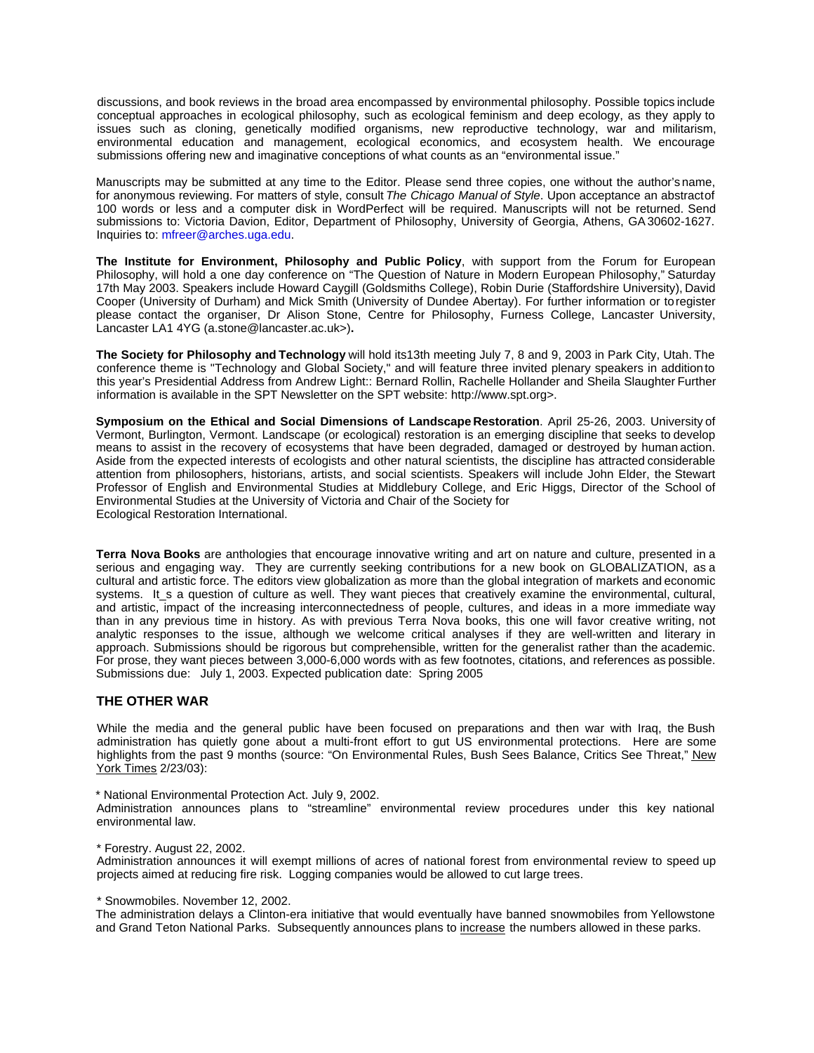discussions, and book reviews in the broad area encompassed by environmental philosophy. Possible topics include conceptual approaches in ecological philosophy, such as ecological feminism and deep ecology, as they apply to issues such as cloning, genetically modified organisms, new reproductive technology, war and militarism, environmental education and management, ecological economics, and ecosystem health. We encourage submissions offering new and imaginative conceptions of what counts as an "environmental issue."

Manuscripts may be submitted at any time to the Editor. Please send three copies, one without the author's name, for anonymous reviewing. For matters of style, consult *The Chicago Manual of Style*. Upon acceptance an abstractof 100 words or less and a computer disk in WordPerfect will be required. Manuscripts will not be returned. Send submissions to: Victoria Davion, Editor, Department of Philosophy, University of Georgia, Athens, GA 30602-1627. Inquiries to: mfreer@arches.uga.edu.

**The Institute for Environment, Philosophy and Public Policy**, with support from the Forum for European Philosophy, will hold a one day conference on "The Question of Nature in Modern European Philosophy," Saturday 17th May 2003. Speakers include Howard Caygill (Goldsmiths College), Robin Durie (Staffordshire University), David Cooper (University of Durham) and Mick Smith (University of Dundee Abertay). For further information or to register please contact the organiser, Dr Alison Stone, Centre for Philosophy, Furness College, Lancaster University, Lancaster LA1 4YG (a.stone@lancaster.ac.uk>)**.**

**The Society for Philosophy and Technology** will hold its13th meeting July 7, 8 and 9, 2003 in Park City, Utah. The conference theme is "Technology and Global Society," and will feature three invited plenary speakers in addition to this year's Presidential Address from Andrew Light:: Bernard Rollin, Rachelle Hollander and Sheila Slaughter Further information is available in the SPT Newsletter on the SPT website: http://www.spt.org>.

**Symposium on the Ethical and Social Dimensions of Landscape Restoration**. April 25-26, 2003. University of Vermont, Burlington, Vermont. Landscape (or ecological) restoration is an emerging discipline that seeks to develop means to assist in the recovery of ecosystems that have been degraded, damaged or destroyed by human action. Aside from the expected interests of ecologists and other natural scientists, the discipline has attracted considerable attention from philosophers, historians, artists, and social scientists. Speakers will include John Elder, the Stewart Professor of English and Environmental Studies at Middlebury College, and Eric Higgs, Director of the School of Environmental Studies at the University of Victoria and Chair of the Society for Ecological Restoration International.

**Terra Nova Books** are anthologies that encourage innovative writing and art on nature and culture, presented in a serious and engaging way. They are currently seeking contributions for a new book on GLOBALIZATION, as a cultural and artistic force. The editors view globalization as more than the global integration of markets and economic systems. It\_s a question of culture as well. They want pieces that creatively examine the environmental, cultural, and artistic, impact of the increasing interconnectedness of people, cultures, and ideas in a more immediate way than in any previous time in history. As with previous Terra Nova books, this one will favor creative writing, not analytic responses to the issue, although we welcome critical analyses if they are well-written and literary in approach. Submissions should be rigorous but comprehensible, written for the generalist rather than the academic. For prose, they want pieces between 3,000-6,000 words with as few footnotes, citations, and references as possible. Submissions due: July 1, 2003. Expected publication date: Spring 2005

## **THE OTHER WAR**

While the media and the general public have been focused on preparations and then war with Iraq, the Bush administration has quietly gone about a multi-front effort to gut US environmental protections. Here are some highlights from the past 9 months (source: "On Environmental Rules, Bush Sees Balance, Critics See Threat," New York Times 2/23/03):

\* National Environmental Protection Act. July 9, 2002.

Administration announces plans to "streamline" environmental review procedures under this key national environmental law.

\* Forestry. August 22, 2002.

Administration announces it will exempt millions of acres of national forest from environmental review to speed up projects aimed at reducing fire risk. Logging companies would be allowed to cut large trees.

\* Snowmobiles. November 12, 2002.

The administration delays a Clinton-era initiative that would eventually have banned snowmobiles from Yellowstone and Grand Teton National Parks. Subsequently announces plans to increase the numbers allowed in these parks.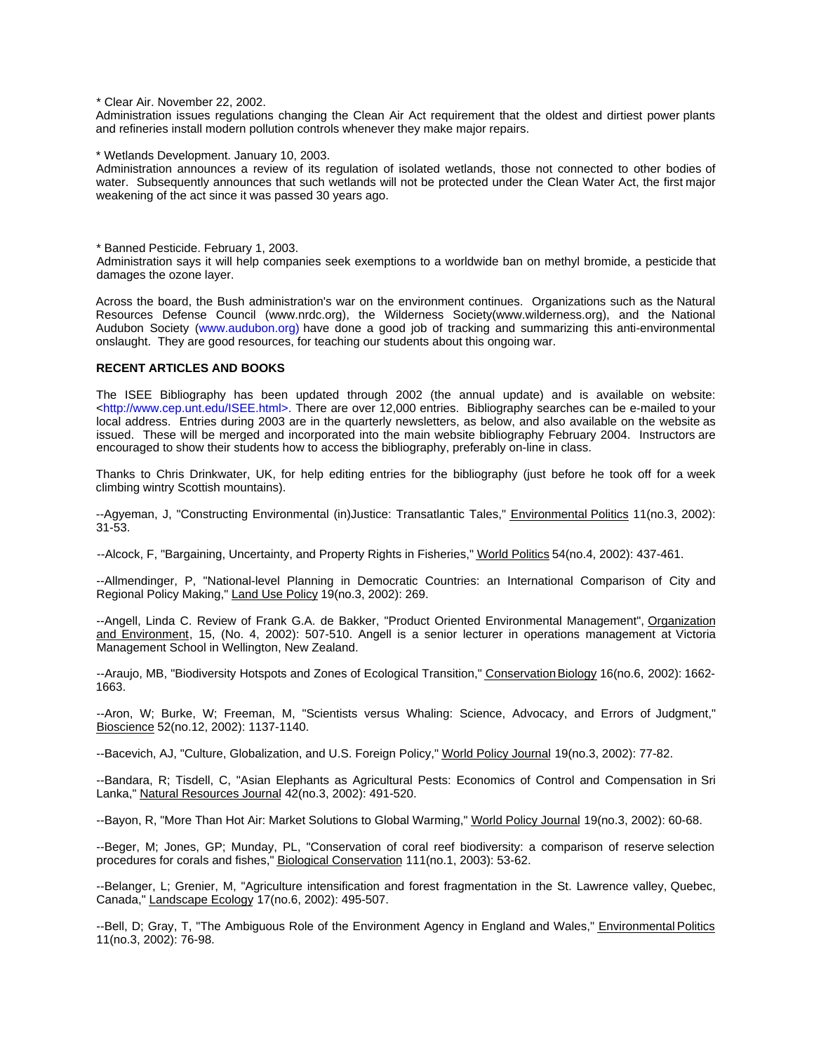\* Clear Air. November 22, 2002.

Administration issues regulations changing the Clean Air Act requirement that the oldest and dirtiest power plants and refineries install modern pollution controls whenever they make major repairs.

\* Wetlands Development. January 10, 2003.

Administration announces a review of its regulation of isolated wetlands, those not connected to other bodies of water. Subsequently announces that such wetlands will not be protected under the Clean Water Act, the first major weakening of the act since it was passed 30 years ago.

\* Banned Pesticide. February 1, 2003.

Administration says it will help companies seek exemptions to a worldwide ban on methyl bromide, a pesticide that damages the ozone layer.

Across the board, the Bush administration's war on the environment continues. Organizations such as the Natural Resources Defense Council (www.nrdc.org), the Wilderness Society(www.wilderness.org), and the National Audubon Society (www.audubon.org) have done a good job of tracking and summarizing this anti-environmental onslaught. They are good resources, for teaching our students about this ongoing war.

#### **RECENT ARTICLES AND BOOKS**

The ISEE Bibliography has been updated through 2002 (the annual update) and is available on website: <http://www.cep.unt.edu/ISEE.html>. There are over 12,000 entries. Bibliography searches can be e-mailed to your local address. Entries during 2003 are in the quarterly newsletters, as below, and also available on the website as issued. These will be merged and incorporated into the main website bibliography February 2004. Instructors are encouraged to show their students how to access the bibliography, preferably on-line in class.

Thanks to Chris Drinkwater, UK, for help editing entries for the bibliography (just before he took off for a week climbing wintry Scottish mountains).

--Agyeman, J, "Constructing Environmental (in)Justice: Transatlantic Tales," Environmental Politics 11(no.3, 2002): 31-53.

--Alcock, F, "Bargaining, Uncertainty, and Property Rights in Fisheries," World Politics 54(no.4, 2002): 437-461.

--Allmendinger, P, "National-level Planning in Democratic Countries: an International Comparison of City and Regional Policy Making," Land Use Policy 19(no.3, 2002): 269.

--Angell, Linda C. Review of Frank G.A. de Bakker, "Product Oriented Environmental Management", Organization and Environment, 15, (No. 4, 2002): 507-510. Angell is a senior lecturer in operations management at Victoria Management School in Wellington, New Zealand.

--Araujo, MB, "Biodiversity Hotspots and Zones of Ecological Transition," Conservation Biology 16(no.6, 2002): 1662- 1663.

--Aron, W; Burke, W; Freeman, M, "Scientists versus Whaling: Science, Advocacy, and Errors of Judgment," Bioscience 52(no.12, 2002): 1137-1140.

--Bacevich, AJ, "Culture, Globalization, and U.S. Foreign Policy," World Policy Journal 19(no.3, 2002): 77-82.

--Bandara, R; Tisdell, C, "Asian Elephants as Agricultural Pests: Economics of Control and Compensation in Sri Lanka," Natural Resources Journal 42(no.3, 2002): 491-520.

--Bayon, R, "More Than Hot Air: Market Solutions to Global Warming," World Policy Journal 19(no.3, 2002): 60-68.

--Beger, M; Jones, GP; Munday, PL, "Conservation of coral reef biodiversity: a comparison of reserve selection procedures for corals and fishes," Biological Conservation 111(no.1, 2003): 53-62.

--Belanger, L; Grenier, M, "Agriculture intensification and forest fragmentation in the St. Lawrence valley, Quebec, Canada," Landscape Ecology 17(no.6, 2002): 495-507.

--Bell, D; Gray, T, "The Ambiguous Role of the Environment Agency in England and Wales," Environmental Politics 11(no.3, 2002): 76-98.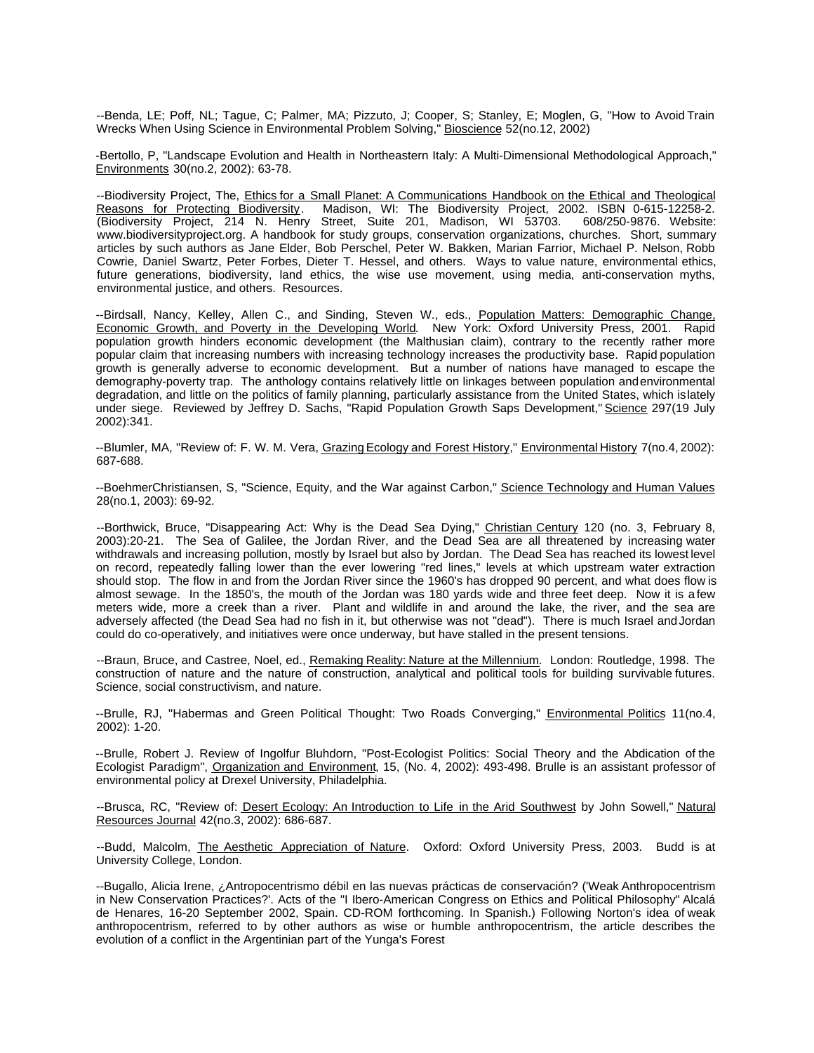--Benda, LE; Poff, NL; Tague, C; Palmer, MA; Pizzuto, J; Cooper, S; Stanley, E; Moglen, G, "How to Avoid Train Wrecks When Using Science in Environmental Problem Solving," Bioscience 52(no.12, 2002)

-Bertollo, P, "Landscape Evolution and Health in Northeastern Italy: A Multi-Dimensional Methodological Approach," Environments 30(no.2, 2002): 63-78.

--Biodiversity Project, The, Ethics for a Small Planet: A Communications Handbook on the Ethical and Theological Reasons for Protecting Biodiversity. Madison, WI: The Biodiversity Project, 2002. ISBN 0-615-12258-2. (Biodiversity Project, 214 N. Henry Street, Suite 201, Madison, WI 53703. 608/250-9876. Website: www.biodiversityproject.org. A handbook for study groups, conservation organizations, churches. Short, summary articles by such authors as Jane Elder, Bob Perschel, Peter W. Bakken, Marian Farrior, Michael P. Nelson, Robb Cowrie, Daniel Swartz, Peter Forbes, Dieter T. Hessel, and others. Ways to value nature, environmental ethics, future generations, biodiversity, land ethics, the wise use movement, using media, anti-conservation myths, environmental justice, and others. Resources.

--Birdsall, Nancy, Kelley, Allen C., and Sinding, Steven W., eds., Population Matters: Demographic Change, Economic Growth, and Poverty in the Developing World. New York: Oxford University Press, 2001. Rapid population growth hinders economic development (the Malthusian claim), contrary to the recently rather more popular claim that increasing numbers with increasing technology increases the productivity base. Rapid population growth is generally adverse to economic development. But a number of nations have managed to escape the demography-poverty trap. The anthology contains relatively little on linkages between population and environmental degradation, and little on the politics of family planning, particularly assistance from the United States, which is lately under siege. Reviewed by Jeffrey D. Sachs, "Rapid Population Growth Saps Development," Science 297(19 July 2002):341.

--Blumler, MA, "Review of: F. W. M. Vera, Grazing Ecology and Forest History," Environmental History 7(no.4, 2002): 687-688.

--BoehmerChristiansen, S, "Science, Equity, and the War against Carbon," Science Technology and Human Values 28(no.1, 2003): 69-92.

--Borthwick, Bruce, "Disappearing Act: Why is the Dead Sea Dying," Christian Century 120 (no. 3, February 8, 2003):20-21. The Sea of Galilee, the Jordan River, and the Dead Sea are all threatened by increasing water withdrawals and increasing pollution, mostly by Israel but also by Jordan. The Dead Sea has reached its lowest level on record, repeatedly falling lower than the ever lowering "red lines," levels at which upstream water extraction should stop. The flow in and from the Jordan River since the 1960's has dropped 90 percent, and what does flow is almost sewage. In the 1850's, the mouth of the Jordan was 180 yards wide and three feet deep. Now it is a few meters wide, more a creek than a river. Plant and wildlife in and around the lake, the river, and the sea are adversely affected (the Dead Sea had no fish in it, but otherwise was not "dead"). There is much Israel and Jordan could do co-operatively, and initiatives were once underway, but have stalled in the present tensions.

--Braun, Bruce, and Castree, Noel, ed., Remaking Reality: Nature at the Millennium. London: Routledge, 1998. The construction of nature and the nature of construction, analytical and political tools for building survivable futures. Science, social constructivism, and nature.

--Brulle, RJ, "Habermas and Green Political Thought: Two Roads Converging," Environmental Politics 11(no.4, 2002): 1-20.

--Brulle, Robert J. Review of Ingolfur Bluhdorn, "Post-Ecologist Politics: Social Theory and the Abdication of the Ecologist Paradigm", Organization and Environment, 15, (No. 4, 2002): 493-498. Brulle is an assistant professor of environmental policy at Drexel University, Philadelphia.

--Brusca, RC, "Review of: Desert Ecology: An Introduction to Life in the Arid Southwest by John Sowell," Natural Resources Journal 42(no.3, 2002): 686-687.

--Budd, Malcolm, The Aesthetic Appreciation of Nature. Oxford: Oxford University Press, 2003. Budd is at University College, London.

--Bugallo, Alicia Irene, ¿Antropocentrismo débil en las nuevas prácticas de conservación? ('Weak Anthropocentrism in New Conservation Practices?'. Acts of the "I Ibero-American Congress on Ethics and Political Philosophy" Alcalá de Henares, 16-20 September 2002, Spain. CD-ROM forthcoming. In Spanish.) Following Norton's idea of weak anthropocentrism, referred to by other authors as wise or humble anthropocentrism, the article describes the evolution of a conflict in the Argentinian part of the Yunga's Forest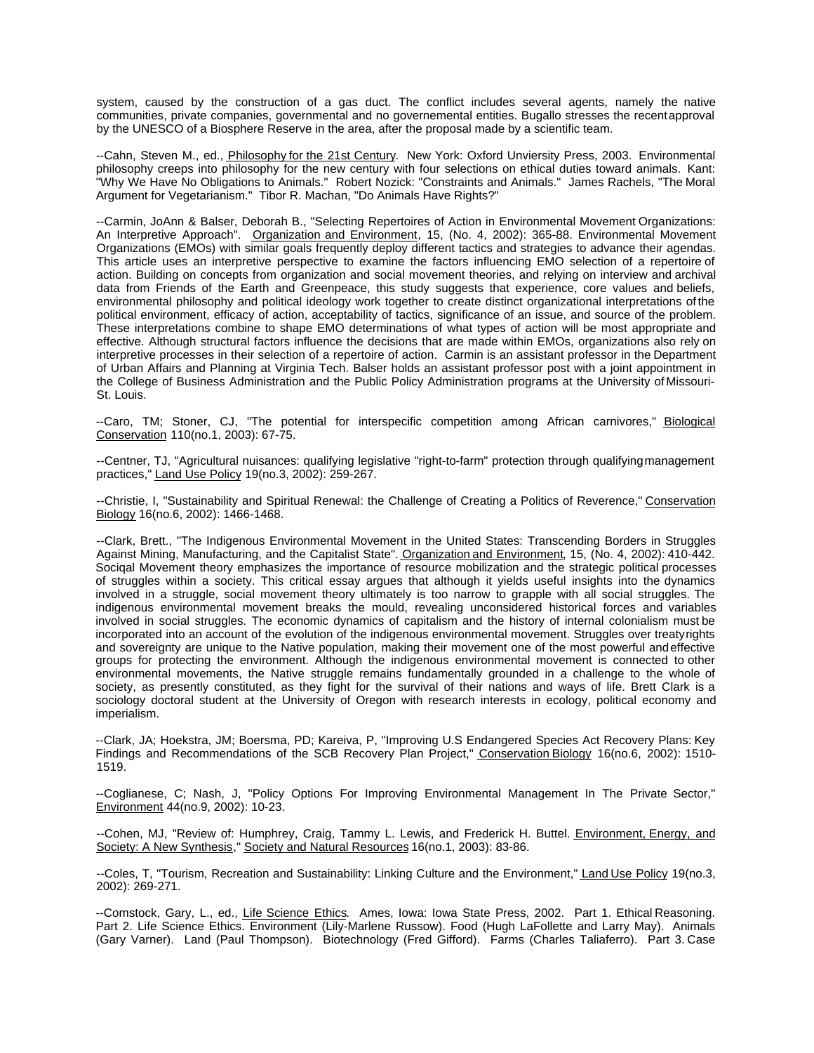system, caused by the construction of a gas duct. The conflict includes several agents, namely the native communities, private companies, governmental and no governemental entities. Bugallo stresses the recent approval by the UNESCO of a Biosphere Reserve in the area, after the proposal made by a scientific team.

--Cahn, Steven M., ed., *Philosophy for the 21st Century*. New York: Oxford Unviersity Press, 2003. Environmental philosophy creeps into philosophy for the new century with four selections on ethical duties toward animals. Kant: "Why We Have No Obligations to Animals." Robert Nozick: "Constraints and Animals." James Rachels, "The Moral Argument for Vegetarianism." Tibor R. Machan, "Do Animals Have Rights?"

--Carmin, JoAnn & Balser, Deborah B., "Selecting Repertoires of Action in Environmental Movement Organizations: An Interpretive Approach". Organization and Environment, 15, (No. 4, 2002): 365-88. Environmental Movement Organizations (EMOs) with similar goals frequently deploy different tactics and strategies to advance their agendas. This article uses an interpretive perspective to examine the factors influencing EMO selection of a repertoire of action. Building on concepts from organization and social movement theories, and relying on interview and archival data from Friends of the Earth and Greenpeace, this study suggests that experience, core values and beliefs, environmental philosophy and political ideology work together to create distinct organizational interpretations of the political environment, efficacy of action, acceptability of tactics, significance of an issue, and source of the problem. These interpretations combine to shape EMO determinations of what types of action will be most appropriate and effective. Although structural factors influence the decisions that are made within EMOs, organizations also rely on interpretive processes in their selection of a repertoire of action. Carmin is an assistant professor in the Department of Urban Affairs and Planning at Virginia Tech. Balser holds an assistant professor post with a joint appointment in the College of Business Administration and the Public Policy Administration programs at the University of Missouri-St. Louis.

--Caro, TM; Stoner, CJ, "The potential for interspecific competition among African carnivores," Biological Conservation 110(no.1, 2003): 67-75.

--Centner, TJ, "Agricultural nuisances: qualifying legislative "right-to-farm" protection through qualifying management practices," Land Use Policy 19(no.3, 2002): 259-267.

--Christie, I, "Sustainability and Spiritual Renewal: the Challenge of Creating a Politics of Reverence," Conservation Biology 16(no.6, 2002): 1466-1468.

--Clark, Brett., "The Indigenous Environmental Movement in the United States: Transcending Borders in Struggles Against Mining, Manufacturing, and the Capitalist State". Organization and Environment, 15, (No. 4, 2002): 410-442. Sociqal Movement theory emphasizes the importance of resource mobilization and the strategic political processes of struggles within a society. This critical essay argues that although it yields useful insights into the dynamics involved in a struggle, social movement theory ultimately is too narrow to grapple with all social struggles. The indigenous environmental movement breaks the mould, revealing unconsidered historical forces and variables involved in social struggles. The economic dynamics of capitalism and the history of internal colonialism must be incorporated into an account of the evolution of the indigenous environmental movement. Struggles over treaty rights and sovereignty are unique to the Native population, making their movement one of the most powerful and effective groups for protecting the environment. Although the indigenous environmental movement is connected to other environmental movements, the Native struggle remains fundamentally grounded in a challenge to the whole of society, as presently constituted, as they fight for the survival of their nations and ways of life. Brett Clark is a sociology doctoral student at the University of Oregon with research interests in ecology, political economy and imperialism.

--Clark, JA; Hoekstra, JM; Boersma, PD; Kareiva, P, "Improving U.S Endangered Species Act Recovery Plans: Key Findings and Recommendations of the SCB Recovery Plan Project," Conservation Biology 16(no.6, 2002): 1510- 1519.

--Coglianese, C; Nash, J, "Policy Options For Improving Environmental Management In The Private Sector," Environment 44(no.9, 2002): 10-23.

--Cohen, MJ, "Review of: Humphrey, Craig, Tammy L. Lewis, and Frederick H. Buttel. Environment, Energy, and Society: A New Synthesis," Society and Natural Resources 16(no.1, 2003): 83-86.

--Coles, T, "Tourism, Recreation and Sustainability: Linking Culture and the Environment," Land Use Policy 19(no.3, 2002): 269-271.

--Comstock, Gary, L., ed., Life Science Ethics. Ames, Iowa: Iowa State Press, 2002. Part 1. Ethical Reasoning. Part 2. Life Science Ethics. Environment (Lily-Marlene Russow). Food (Hugh LaFollette and Larry May). Animals (Gary Varner). Land (Paul Thompson). Biotechnology (Fred Gifford). Farms (Charles Taliaferro). Part 3. Case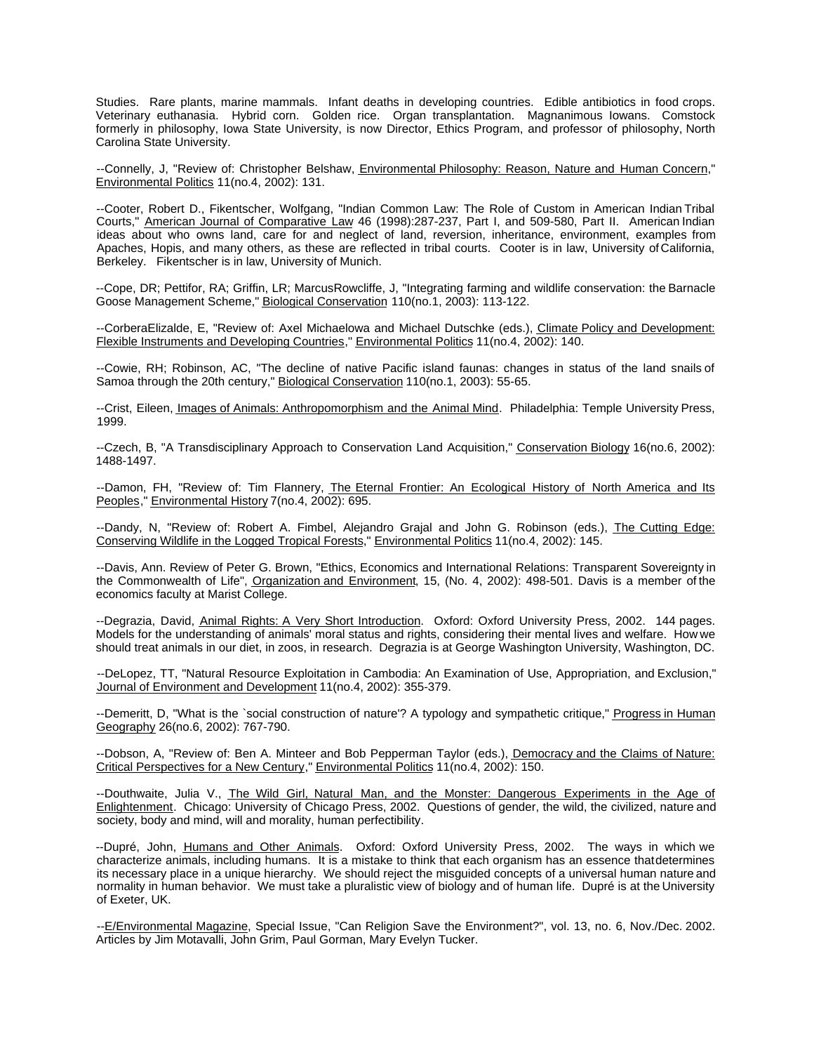Studies. Rare plants, marine mammals. Infant deaths in developing countries. Edible antibiotics in food crops. Veterinary euthanasia. Hybrid corn. Golden rice. Organ transplantation. Magnanimous Iowans. Comstock formerly in philosophy, Iowa State University, is now Director, Ethics Program, and professor of philosophy, North Carolina State University.

--Connelly, J, "Review of: Christopher Belshaw, Environmental Philosophy: Reason, Nature and Human Concern," Environmental Politics 11(no.4, 2002): 131.

--Cooter, Robert D., Fikentscher, Wolfgang, "Indian Common Law: The Role of Custom in American Indian Tribal Courts," American Journal of Comparative Law 46 (1998):287-237, Part I, and 509-580, Part II. American Indian ideas about who owns land, care for and neglect of land, reversion, inheritance, environment, examples from Apaches, Hopis, and many others, as these are reflected in tribal courts. Cooter is in law, University of California, Berkeley. Fikentscher is in law, University of Munich.

--Cope, DR; Pettifor, RA; Griffin, LR; MarcusRowcliffe, J, "Integrating farming and wildlife conservation: the Barnacle Goose Management Scheme," Biological Conservation 110(no.1, 2003): 113-122.

--CorberaElizalde, E, "Review of: Axel Michaelowa and Michael Dutschke (eds.), Climate Policy and Development: Flexible Instruments and Developing Countries," Environmental Politics 11(no.4, 2002): 140.

--Cowie, RH; Robinson, AC, "The decline of native Pacific island faunas: changes in status of the land snails of Samoa through the 20th century," Biological Conservation 110(no.1, 2003): 55-65.

--Crist, Eileen, Images of Animals: Anthropomorphism and the Animal Mind. Philadelphia: Temple University Press, 1999.

--Czech, B, "A Transdisciplinary Approach to Conservation Land Acquisition," Conservation Biology 16(no.6, 2002): 1488-1497.

--Damon, FH, "Review of: Tim Flannery, The Eternal Frontier: An Ecological History of North America and Its Peoples," Environmental History 7(no.4, 2002): 695.

--Dandy, N, "Review of: Robert A. Fimbel, Alejandro Grajal and John G. Robinson (eds.), The Cutting Edge: Conserving Wildlife in the Logged Tropical Forests," Environmental Politics 11(no.4, 2002): 145.

--Davis, Ann. Review of Peter G. Brown, "Ethics, Economics and International Relations: Transparent Sovereignty in the Commonwealth of Life", Organization and Environment, 15, (No. 4, 2002): 498-501. Davis is a member of the economics faculty at Marist College.

--Degrazia, David, Animal Rights: A Very Short Introduction. Oxford: Oxford University Press, 2002. 144 pages. Models for the understanding of animals' moral status and rights, considering their mental lives and welfare. How we should treat animals in our diet, in zoos, in research. Degrazia is at George Washington University, Washington, DC.

--DeLopez, TT, "Natural Resource Exploitation in Cambodia: An Examination of Use, Appropriation, and Exclusion," Journal of Environment and Development 11(no.4, 2002): 355-379.

--Demeritt, D, "What is the `social construction of nature'? A typology and sympathetic critique," Progress in Human Geography 26(no.6, 2002): 767-790.

--Dobson, A, "Review of: Ben A. Minteer and Bob Pepperman Taylor (eds.), Democracy and the Claims of Nature: Critical Perspectives for a New Century," Environmental Politics 11(no.4, 2002): 150.

--Douthwaite, Julia V., The Wild Girl, Natural Man, and the Monster: Dangerous Experiments in the Age of Enlightenment. Chicago: University of Chicago Press, 2002. Questions of gender, the wild, the civilized, nature and society, body and mind, will and morality, human perfectibility.

--Dupré, John, Humans and Other Animals. Oxford: Oxford University Press, 2002. The ways in which we characterize animals, including humans. It is a mistake to think that each organism has an essence that determines its necessary place in a unique hierarchy. We should reject the misguided concepts of a universal human nature and normality in human behavior. We must take a pluralistic view of biology and of human life. Dupré is at the University of Exeter, UK.

--E/Environmental Magazine, Special Issue, "Can Religion Save the Environment?", vol. 13, no. 6, Nov./Dec. 2002. Articles by Jim Motavalli, John Grim, Paul Gorman, Mary Evelyn Tucker.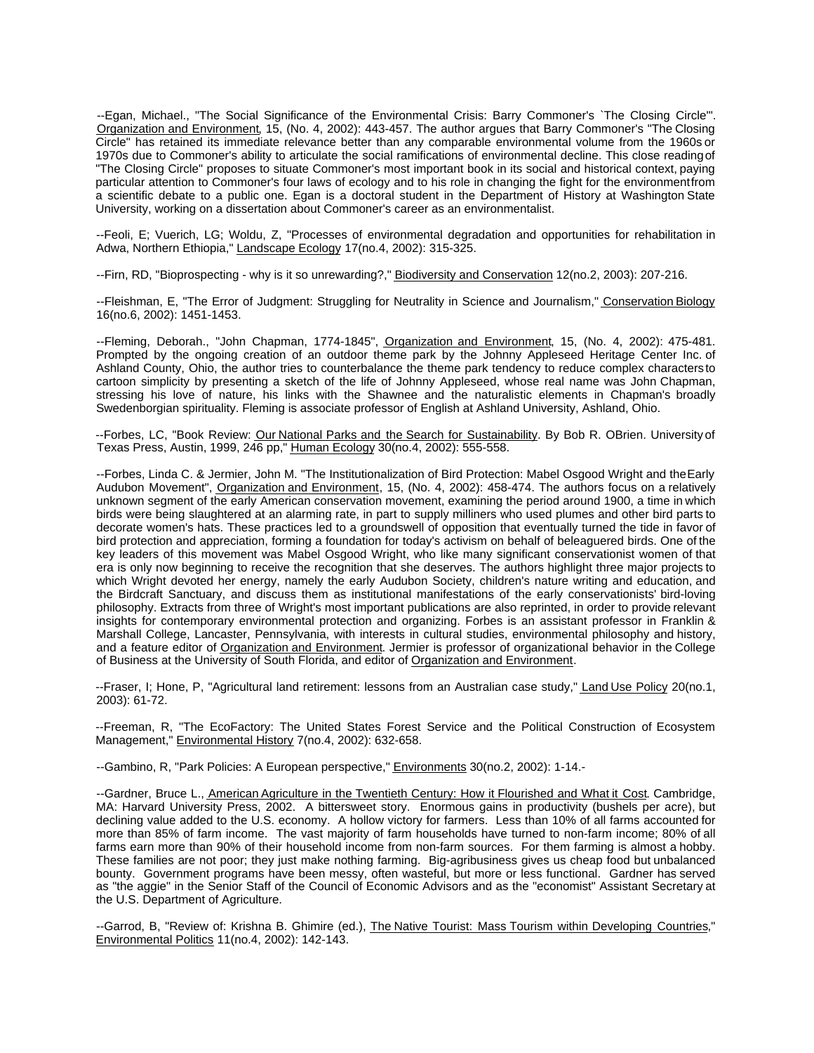--Egan, Michael., "The Social Significance of the Environmental Crisis: Barry Commoner's `The Closing Circle'". Organization and Environment, 15, (No. 4, 2002): 443-457. The author argues that Barry Commoner's "The Closing Circle" has retained its immediate relevance better than any comparable environmental volume from the 1960s or 1970s due to Commoner's ability to articulate the social ramifications of environmental decline. This close reading of "The Closing Circle" proposes to situate Commoner's most important book in its social and historical context, paying particular attention to Commoner's four laws of ecology and to his role in changing the fight for the environment from a scientific debate to a public one. Egan is a doctoral student in the Department of History at Washington State University, working on a dissertation about Commoner's career as an environmentalist.

--Feoli, E; Vuerich, LG; Woldu, Z, "Processes of environmental degradation and opportunities for rehabilitation in Adwa, Northern Ethiopia," Landscape Ecology 17(no.4, 2002): 315-325.

--Firn, RD, "Bioprospecting - why is it so unrewarding?," Biodiversity and Conservation 12(no.2, 2003): 207-216.

--Fleishman, E, "The Error of Judgment: Struggling for Neutrality in Science and Journalism," Conservation Biology 16(no.6, 2002): 1451-1453.

--Fleming, Deborah., "John Chapman, 1774-1845", Organization and Environment, 15, (No. 4, 2002): 475-481. Prompted by the ongoing creation of an outdoor theme park by the Johnny Appleseed Heritage Center Inc. of Ashland County, Ohio, the author tries to counterbalance the theme park tendency to reduce complex characters to cartoon simplicity by presenting a sketch of the life of Johnny Appleseed, whose real name was John Chapman, stressing his love of nature, his links with the Shawnee and the naturalistic elements in Chapman's broadly Swedenborgian spirituality. Fleming is associate professor of English at Ashland University, Ashland, Ohio.

--Forbes, LC, "Book Review: Our National Parks and the Search for Sustainability. By Bob R. OBrien. University of Texas Press, Austin, 1999, 246 pp," Human Ecology 30(no.4, 2002): 555-558.

--Forbes, Linda C. & Jermier, John M. "The Institutionalization of Bird Protection: Mabel Osgood Wright and the Early Audubon Movement", Organization and Environment, 15, (No. 4, 2002): 458-474. The authors focus on a relatively unknown segment of the early American conservation movement, examining the period around 1900, a time in which birds were being slaughtered at an alarming rate, in part to supply milliners who used plumes and other bird parts to decorate women's hats. These practices led to a groundswell of opposition that eventually turned the tide in favor of bird protection and appreciation, forming a foundation for today's activism on behalf of beleaguered birds. One of the key leaders of this movement was Mabel Osgood Wright, who like many significant conservationist women of that era is only now beginning to receive the recognition that she deserves. The authors highlight three major projects to which Wright devoted her energy, namely the early Audubon Society, children's nature writing and education, and the Birdcraft Sanctuary, and discuss them as institutional manifestations of the early conservationists' bird-loving philosophy. Extracts from three of Wright's most important publications are also reprinted, in order to provide relevant insights for contemporary environmental protection and organizing. Forbes is an assistant professor in Franklin & Marshall College, Lancaster, Pennsylvania, with interests in cultural studies, environmental philosophy and history, and a feature editor of Organization and Environment. Jermier is professor of organizational behavior in the College of Business at the University of South Florida, and editor of Organization and Environment.

--Fraser, I; Hone, P, "Agricultural land retirement: lessons from an Australian case study," Land Use Policy 20(no.1, 2003): 61-72.

--Freeman, R, "The EcoFactory: The United States Forest Service and the Political Construction of Ecosystem Management," Environmental History 7(no.4, 2002): 632-658.

--Gambino, R, "Park Policies: A European perspective," **Environments 30(no.2, 2002): 1-14.-**

--Gardner, Bruce L., American Agriculture in the Twentieth Century: How it Flourished and What it Cost. Cambridge, MA: Harvard University Press, 2002. A bittersweet story. Enormous gains in productivity (bushels per acre), but declining value added to the U.S. economy. A hollow victory for farmers. Less than 10% of all farms accounted for more than 85% of farm income. The vast majority of farm households have turned to non-farm income; 80% of all farms earn more than 90% of their household income from non-farm sources. For them farming is almost a hobby. These families are not poor; they just make nothing farming. Big-agribusiness gives us cheap food but unbalanced bounty. Government programs have been messy, often wasteful, but more or less functional. Gardner has served as "the aggie" in the Senior Staff of the Council of Economic Advisors and as the "economist" Assistant Secretary at the U.S. Department of Agriculture.

--Garrod, B, "Review of: Krishna B. Ghimire (ed.), The Native Tourist: Mass Tourism within Developing Countries," Environmental Politics 11(no.4, 2002): 142-143.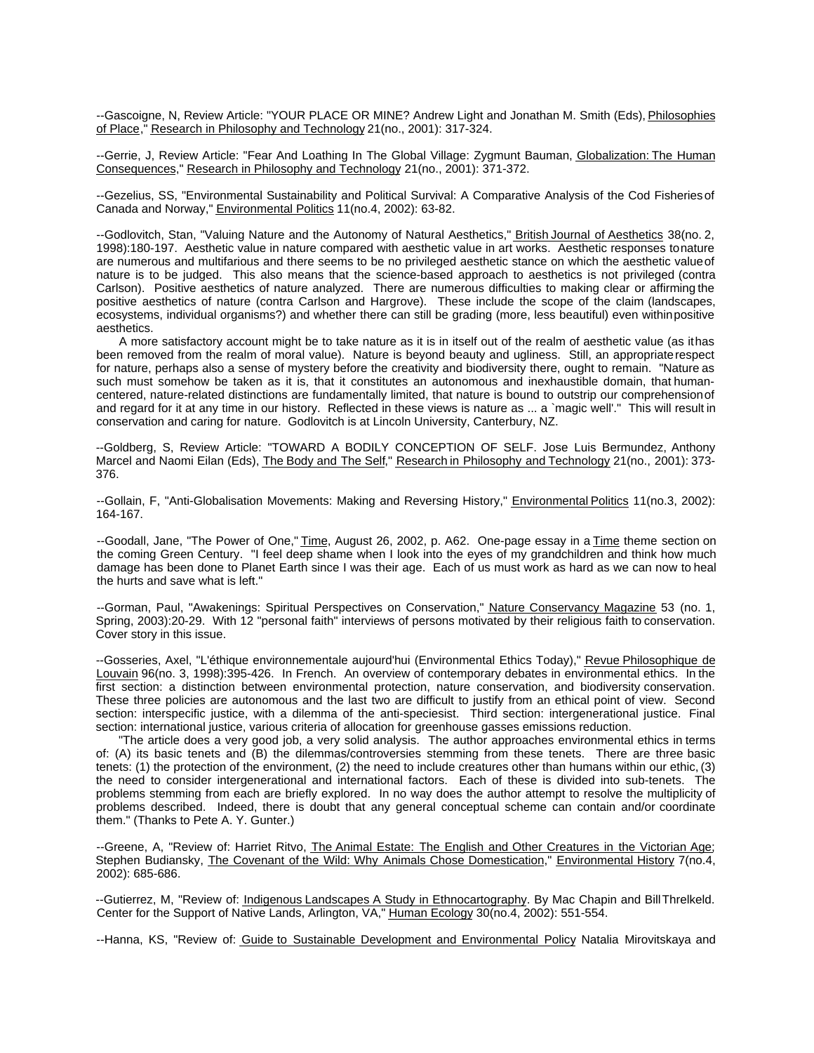--Gascoigne, N, Review Article: "YOUR PLACE OR MINE? Andrew Light and Jonathan M. Smith (Eds), Philosophies of Place," Research in Philosophy and Technology 21(no., 2001): 317-324.

--Gerrie, J, Review Article: "Fear And Loathing In The Global Village: Zygmunt Bauman, Globalization: The Human Consequences," Research in Philosophy and Technology 21(no., 2001): 371-372.

--Gezelius, SS, "Environmental Sustainability and Political Survival: A Comparative Analysis of the Cod Fisheries of Canada and Norway," Environmental Politics 11(no.4, 2002): 63-82.

--Godlovitch, Stan, "Valuing Nature and the Autonomy of Natural Aesthetics," British Journal of Aesthetics 38(no. 2, 1998):180-197. Aesthetic value in nature compared with aesthetic value in art works. Aesthetic responses to nature are numerous and multifarious and there seems to be no privileged aesthetic stance on which the aesthetic value of nature is to be judged. This also means that the science-based approach to aesthetics is not privileged (contra Carlson). Positive aesthetics of nature analyzed. There are numerous difficulties to making clear or affirming the positive aesthetics of nature (contra Carlson and Hargrove). These include the scope of the claim (landscapes, ecosystems, individual organisms?) and whether there can still be grading (more, less beautiful) even within positive aesthetics.

A more satisfactory account might be to take nature as it is in itself out of the realm of aesthetic value (as it has been removed from the realm of moral value). Nature is beyond beauty and ugliness. Still, an appropriate respect for nature, perhaps also a sense of mystery before the creativity and biodiversity there, ought to remain. "Nature as such must somehow be taken as it is, that it constitutes an autonomous and inexhaustible domain, that humancentered, nature-related distinctions are fundamentally limited, that nature is bound to outstrip our comprehension of and regard for it at any time in our history. Reflected in these views is nature as ... a `magic well'." This will result in conservation and caring for nature. Godlovitch is at Lincoln University, Canterbury, NZ.

--Goldberg, S, Review Article: "TOWARD A BODILY CONCEPTION OF SELF. Jose Luis Bermundez, Anthony Marcel and Naomi Eilan (Eds), The Body and The Self," Research in Philosophy and Technology 21(no., 2001): 373-376.

--Gollain, F, "Anti-Globalisation Movements: Making and Reversing History," Environmental Politics 11(no.3, 2002): 164-167.

--Goodall, Jane, "The Power of One," Time, August 26, 2002, p. A62. One-page essay in a Time theme section on the coming Green Century. "I feel deep shame when I look into the eyes of my grandchildren and think how much damage has been done to Planet Earth since I was their age. Each of us must work as hard as we can now to heal the hurts and save what is left."

--Gorman, Paul, "Awakenings: Spiritual Perspectives on Conservation," Nature Conservancy Magazine 53 (no. 1, Spring, 2003):20-29. With 12 "personal faith" interviews of persons motivated by their religious faith to conservation. Cover story in this issue.

--Gosseries, Axel, "L'éthique environnementale aujourd'hui (Environmental Ethics Today)," Revue Philosophique de Louvain 96(no. 3, 1998):395-426. In French. An overview of contemporary debates in environmental ethics. In the first section: a distinction between environmental protection, nature conservation, and biodiversity conservation. These three policies are autonomous and the last two are difficult to justify from an ethical point of view. Second section: interspecific justice, with a dilemma of the anti-speciesist. Third section: intergenerational justice. Final section: international justice, various criteria of allocation for greenhouse gasses emissions reduction.

"The article does a very good job, a very solid analysis. The author approaches environmental ethics in terms of: (A) its basic tenets and (B) the dilemmas/controversies stemming from these tenets. There are three basic tenets: (1) the protection of the environment, (2) the need to include creatures other than humans within our ethic, (3) the need to consider intergenerational and international factors. Each of these is divided into sub-tenets. The problems stemming from each are briefly explored. In no way does the author attempt to resolve the multiplicity of problems described. Indeed, there is doubt that any general conceptual scheme can contain and/or coordinate them." (Thanks to Pete A. Y. Gunter.)

--Greene, A, "Review of: Harriet Ritvo, The Animal Estate: The English and Other Creatures in the Victorian Age; Stephen Budiansky, The Covenant of the Wild: Why Animals Chose Domestication," Environmental History 7(no.4, 2002): 685-686.

--Gutierrez, M, "Review of: *Indigenous Landscapes A Study in Ethnocartography*. By Mac Chapin and Bill Threlkeld. Center for the Support of Native Lands, Arlington, VA," Human Ecology 30(no.4, 2002): 551-554.

--Hanna, KS, "Review of: Guide to Sustainable Development and Environmental Policy Natalia Mirovitskaya and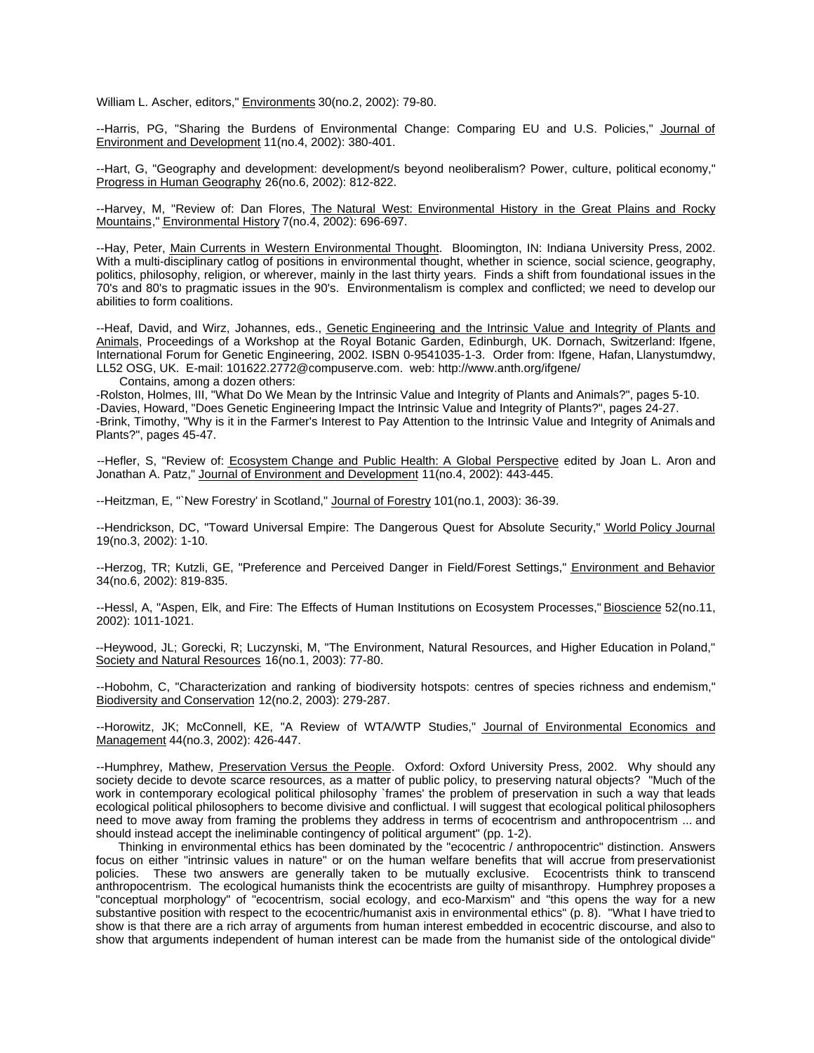William L. Ascher, editors," Environments 30(no.2, 2002): 79-80.

--Harris, PG, "Sharing the Burdens of Environmental Change: Comparing EU and U.S. Policies," Journal of Environment and Development 11(no.4, 2002): 380-401.

--Hart, G, "Geography and development: development/s beyond neoliberalism? Power, culture, political economy," Progress in Human Geography 26(no.6, 2002): 812-822.

--Harvey, M, "Review of: Dan Flores, The Natural West: Environmental History in the Great Plains and Rocky Mountains," Environmental History 7(no.4, 2002): 696-697.

--Hay, Peter, Main Currents in Western Environmental Thought. Bloomington, IN: Indiana University Press, 2002. With a multi-disciplinary catlog of positions in environmental thought, whether in science, social science, geography, politics, philosophy, religion, or wherever, mainly in the last thirty years. Finds a shift from foundational issues in the 70's and 80's to pragmatic issues in the 90's. Environmentalism is complex and conflicted; we need to develop our abilities to form coalitions.

--Heaf, David, and Wirz, Johannes, eds., Genetic Engineering and the Intrinsic Value and Integrity of Plants and Animals, Proceedings of a Workshop at the Royal Botanic Garden, Edinburgh, UK. Dornach, Switzerland: Ifgene, International Forum for Genetic Engineering, 2002. ISBN 0-9541035-1-3. Order from: Ifgene, Hafan, Llanystumdwy, LL52 OSG, UK. E-mail: 101622.2772@compuserve.com. web: http://www.anth.org/ifgene/

Contains, among a dozen others:

-Rolston, Holmes, III, "What Do We Mean by the Intrinsic Value and Integrity of Plants and Animals?", pages 5-10. -Davies, Howard, "Does Genetic Engineering Impact the Intrinsic Value and Integrity of Plants?", pages 24-27. -Brink, Timothy, "Why is it in the Farmer's Interest to Pay Attention to the Intrinsic Value and Integrity of Animals and Plants?", pages 45-47.

--Hefler, S, "Review of: Ecosystem Change and Public Health: A Global Perspective edited by Joan L. Aron and Jonathan A. Patz," Journal of Environment and Development 11(no.4, 2002): 443-445.

--Heitzman, E, "`New Forestry' in Scotland," Journal of Forestry 101(no.1, 2003): 36-39.

--Hendrickson, DC, "Toward Universal Empire: The Dangerous Quest for Absolute Security," World Policy Journal 19(no.3, 2002): 1-10.

--Herzog, TR; Kutzli, GE, "Preference and Perceived Danger in Field/Forest Settings," Environment and Behavior 34(no.6, 2002): 819-835.

--Hessl, A, "Aspen, Elk, and Fire: The Effects of Human Institutions on Ecosystem Processes," Bioscience 52(no.11, 2002): 1011-1021.

--Heywood, JL; Gorecki, R; Luczynski, M, "The Environment, Natural Resources, and Higher Education in Poland," Society and Natural Resources 16(no.1, 2003): 77-80.

--Hobohm, C, "Characterization and ranking of biodiversity hotspots: centres of species richness and endemism," Biodiversity and Conservation 12(no.2, 2003): 279-287.

--Horowitz, JK; McConnell, KE, "A Review of WTA/WTP Studies," Journal of Environmental Economics and Management 44(no.3, 2002): 426-447.

--Humphrey, Mathew, Preservation Versus the People. Oxford: Oxford University Press, 2002. Why should any society decide to devote scarce resources, as a matter of public policy, to preserving natural objects? "Much of the work in contemporary ecological political philosophy `frames' the problem of preservation in such a way that leads ecological political philosophers to become divisive and conflictual. I will suggest that ecological political philosophers need to move away from framing the problems they address in terms of ecocentrism and anthropocentrism ... and should instead accept the ineliminable contingency of political argument" (pp. 1-2).

Thinking in environmental ethics has been dominated by the "ecocentric / anthropocentric" distinction. Answers focus on either "intrinsic values in nature" or on the human welfare benefits that will accrue from preservationist policies. These two answers are generally taken to be mutually exclusive. Ecocentrists think to transcend anthropocentrism. The ecological humanists think the ecocentrists are guilty of misanthropy. Humphrey proposes a "conceptual morphology" of "ecocentrism, social ecology, and eco-Marxism" and "this opens the way for a new substantive position with respect to the ecocentric/humanist axis in environmental ethics" (p. 8). "What I have tried to show is that there are a rich array of arguments from human interest embedded in ecocentric discourse, and also to show that arguments independent of human interest can be made from the humanist side of the ontological divide"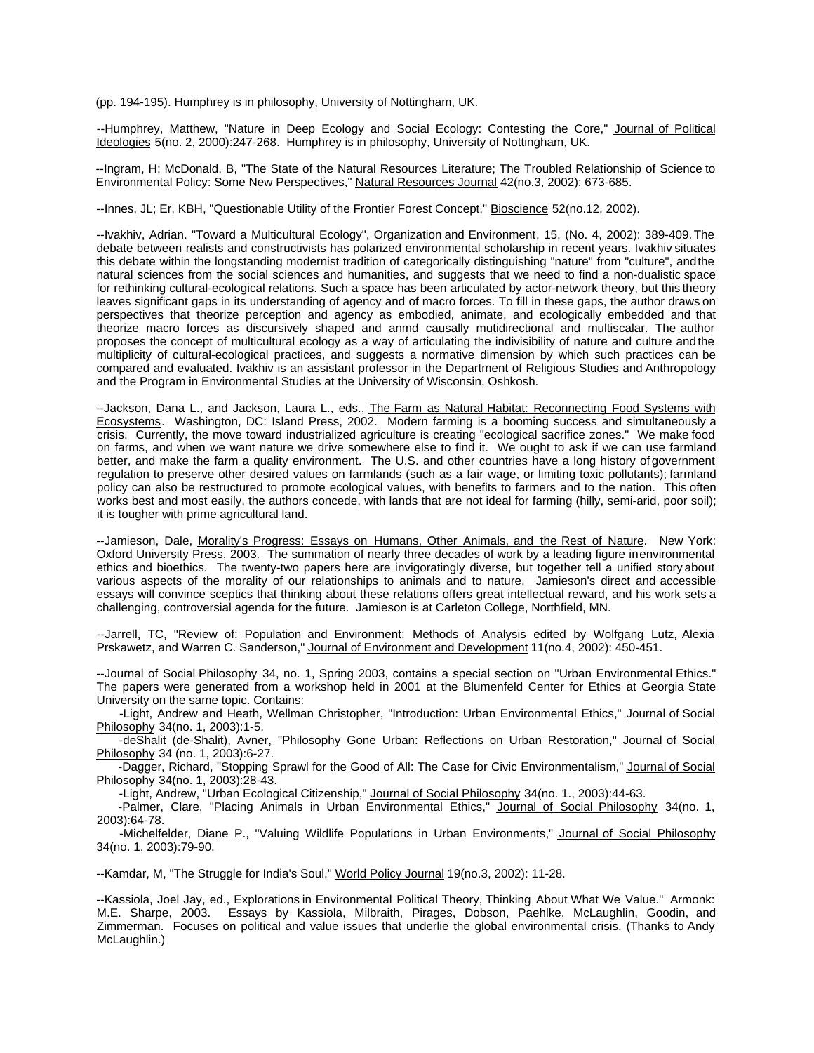(pp. 194-195). Humphrey is in philosophy, University of Nottingham, UK.

--Humphrey, Matthew, "Nature in Deep Ecology and Social Ecology: Contesting the Core," Journal of Political Ideologies 5(no. 2, 2000):247-268. Humphrey is in philosophy, University of Nottingham, UK.

--Ingram, H; McDonald, B, "The State of the Natural Resources Literature; The Troubled Relationship of Science to Environmental Policy: Some New Perspectives," Natural Resources Journal 42(no.3, 2002): 673-685.

--Innes, JL; Er, KBH, "Questionable Utility of the Frontier Forest Concept," Bioscience 52(no.12, 2002).

--Ivakhiv, Adrian. "Toward a Multicultural Ecology", Organization and Environment, 15, (No. 4, 2002): 389-409. The debate between realists and constructivists has polarized environmental scholarship in recent years. Ivakhiv situates this debate within the longstanding modernist tradition of categorically distinguishing "nature" from "culture", and the natural sciences from the social sciences and humanities, and suggests that we need to find a non-dualistic space for rethinking cultural-ecological relations. Such a space has been articulated by actor-network theory, but this theory leaves significant gaps in its understanding of agency and of macro forces. To fill in these gaps, the author draws on perspectives that theorize perception and agency as embodied, animate, and ecologically embedded and that theorize macro forces as discursively shaped and anmd causally mutidirectional and multiscalar. The author proposes the concept of multicultural ecology as a way of articulating the indivisibility of nature and culture and the multiplicity of cultural-ecological practices, and suggests a normative dimension by which such practices can be compared and evaluated. Ivakhiv is an assistant professor in the Department of Religious Studies and Anthropology and the Program in Environmental Studies at the University of Wisconsin, Oshkosh.

--Jackson, Dana L., and Jackson, Laura L., eds., The Farm as Natural Habitat: Reconnecting Food Systems with Ecosystems. Washington, DC: Island Press, 2002. Modern farming is a booming success and simultaneously a crisis. Currently, the move toward industrialized agriculture is creating "ecological sacrifice zones." We make food on farms, and when we want nature we drive somewhere else to find it. We ought to ask if we can use farmland better, and make the farm a quality environment. The U.S. and other countries have a long history of government regulation to preserve other desired values on farmlands (such as a fair wage, or limiting toxic pollutants); farmland policy can also be restructured to promote ecological values, with benefits to farmers and to the nation. This often works best and most easily, the authors concede, with lands that are not ideal for farming (hilly, semi-arid, poor soil); it is tougher with prime agricultural land.

--Jamieson, Dale, Morality's Progress: Essays on Humans, Other Animals, and the Rest of Nature. New York: Oxford University Press, 2003. The summation of nearly three decades of work by a leading figure in environmental ethics and bioethics. The twenty-two papers here are invigoratingly diverse, but together tell a unified story about various aspects of the morality of our relationships to animals and to nature. Jamieson's direct and accessible essays will convince sceptics that thinking about these relations offers great intellectual reward, and his work sets a challenging, controversial agenda for the future. Jamieson is at Carleton College, Northfield, MN.

--Jarrell, TC, "Review of: Population and Environment: Methods of Analysis edited by Wolfgang Lutz, Alexia Prskawetz, and Warren C. Sanderson," Journal of Environment and Development 11(no.4, 2002): 450-451.

--Journal of Social Philosophy 34, no. 1, Spring 2003, contains a special section on "Urban Environmental Ethics." The papers were generated from a workshop held in 2001 at the Blumenfeld Center for Ethics at Georgia State University on the same topic. Contains:

-Light, Andrew and Heath, Wellman Christopher, "Introduction: Urban Environmental Ethics," Journal of Social Philosophy 34(no. 1, 2003):1-5.

-deShalit (de-Shalit), Avner, "Philosophy Gone Urban: Reflections on Urban Restoration," Journal of Social Philosophy 34 (no. 1, 2003):6-27.

-Dagger, Richard, "Stopping Sprawl for the Good of All: The Case for Civic Environmentalism," Journal of Social Philosophy 34(no. 1, 2003):28-43.

-Light, Andrew, "Urban Ecological Citizenship," Journal of Social Philosophy 34(no. 1., 2003):44-63.

-Palmer, Clare, "Placing Animals in Urban Environmental Ethics," Journal of Social Philosophy 34(no. 1, 2003):64-78.

-Michelfelder, Diane P., "Valuing Wildlife Populations in Urban Environments," Journal of Social Philosophy 34(no. 1, 2003):79-90.

--Kamdar, M, "The Struggle for India's Soul," World Policy Journal 19(no.3, 2002): 11-28.

--Kassiola, Joel Jay, ed., Explorations in Environmental Political Theory, Thinking About What We Value." Armonk: M.E. Sharpe, 2003. Essays by Kassiola, Milbraith, Pirages, Dobson, Paehlke, McLaughlin, Goodin, and Zimmerman. Focuses on political and value issues that underlie the global environmental crisis. (Thanks to Andy McLaughlin.)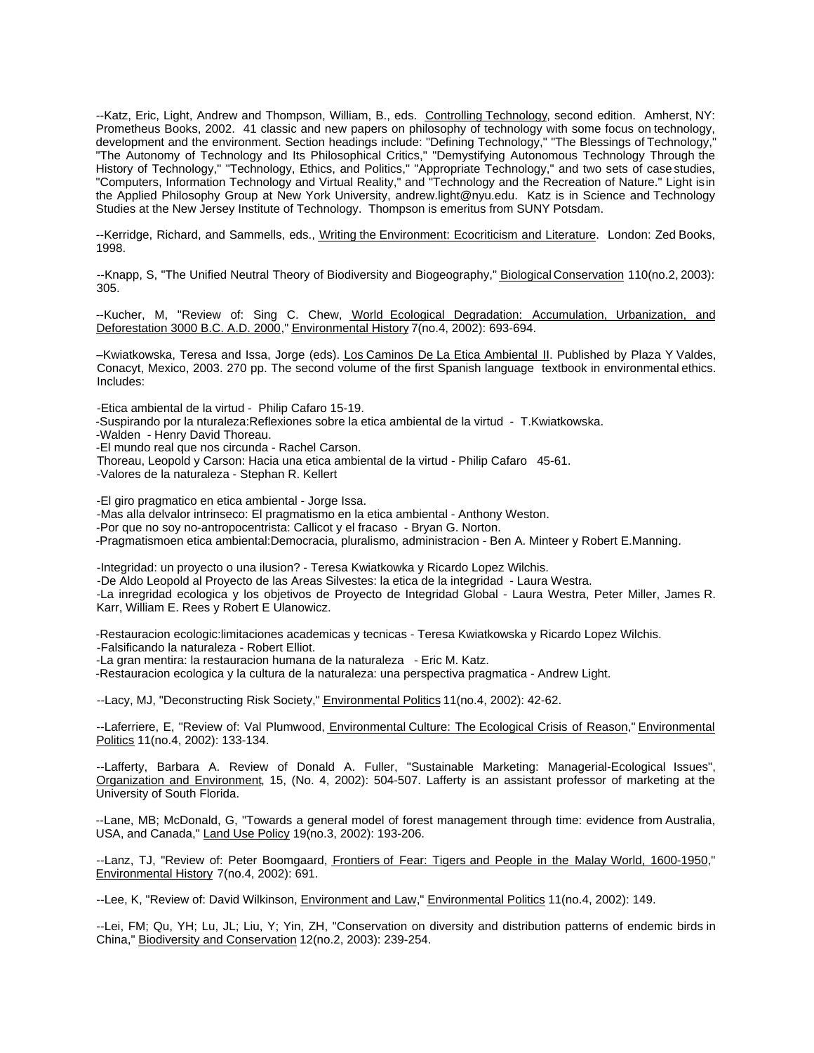--Katz, Eric, Light, Andrew and Thompson, William, B., eds. Controlling Technology, second edition. Amherst, NY: Prometheus Books, 2002. 41 classic and new papers on philosophy of technology with some focus on technology, development and the environment. Section headings include: "Defining Technology," "The Blessings of Technology," "The Autonomy of Technology and Its Philosophical Critics," "Demystifying Autonomous Technology Through the History of Technology," "Technology, Ethics, and Politics," "Appropriate Technology," and two sets of case studies, "Computers, Information Technology and Virtual Reality," and "Technology and the Recreation of Nature." Light is in the Applied Philosophy Group at New York University, andrew.light@nyu.edu. Katz is in Science and Technology Studies at the New Jersey Institute of Technology. Thompson is emeritus from SUNY Potsdam.

--Kerridge, Richard, and Sammells, eds., Writing the Environment: Ecocriticism and Literature. London: Zed Books, 1998.

--Knapp, S, "The Unified Neutral Theory of Biodiversity and Biogeography," Biological Conservation 110(no.2, 2003): 305.

--Kucher, M, "Review of: Sing C. Chew, World Ecological Degradation: Accumulation, Urbanization, and Deforestation 3000 B.C. A.D. 2000," Environmental History 7(no.4, 2002): 693-694.

–Kwiatkowska, Teresa and Issa, Jorge (eds). Los Caminos De La Etica Ambiental II. Published by Plaza Y Valdes, Conacyt, Mexico, 2003. 270 pp. The second volume of the first Spanish language textbook in environmental ethics. Includes:

-Etica ambiental de la virtud - Philip Cafaro 15-19.

-Suspirando por la nturaleza:Reflexiones sobre la etica ambiental de la virtud - T.Kwiatkowska.

-Walden - Henry David Thoreau.

-El mundo real que nos circunda - Rachel Carson.

Thoreau, Leopold y Carson: Hacia una etica ambiental de la virtud - Philip Cafaro 45-61.

-Valores de la naturaleza - Stephan R. Kellert

-El giro pragmatico en etica ambiental - Jorge Issa.

-Mas alla delvalor intrinseco: El pragmatismo en la etica ambiental - Anthony Weston.

-Por que no soy no-antropocentrista: Callicot y el fracaso - Bryan G. Norton.

-Pragmatismoen etica ambiental:Democracia, pluralismo, administracion - Ben A. Minteer y Robert E.Manning.

-Integridad: un proyecto o una ilusion? - Teresa Kwiatkowka y Ricardo Lopez Wilchis.

-De Aldo Leopold al Proyecto de las Areas Silvestes: la etica de la integridad - Laura Westra.

-La inregridad ecologica y los objetivos de Proyecto de Integridad Global - Laura Westra, Peter Miller, James R. Karr, William E. Rees y Robert E Ulanowicz.

-Restauracion ecologic:limitaciones academicas y tecnicas - Teresa Kwiatkowska y Ricardo Lopez Wilchis. -Falsificando la naturaleza - Robert Elliot.

-La gran mentira: la restauracion humana de la naturaleza - Eric M. Katz.

-Restauracion ecologica y la cultura de la naturaleza: una perspectiva pragmatica - Andrew Light.

--Lacy, MJ, "Deconstructing Risk Society," **Environmental Politics** 11(no.4, 2002): 42-62.

--Laferriere, E, "Review of: Val Plumwood, Environmental Culture: The Ecological Crisis of Reason," Environmental Politics 11(no.4, 2002): 133-134.

--Lafferty, Barbara A. Review of Donald A. Fuller, "Sustainable Marketing: Managerial-Ecological Issues", Organization and Environment, 15, (No. 4, 2002): 504-507. Lafferty is an assistant professor of marketing at the University of South Florida.

--Lane, MB; McDonald, G, "Towards a general model of forest management through time: evidence from Australia, USA, and Canada," Land Use Policy 19(no.3, 2002): 193-206.

--Lanz, TJ, "Review of: Peter Boomgaard, Frontiers of Fear: Tigers and People in the Malay World, 1600-1950," Environmental History 7(no.4, 2002): 691.

--Lee, K, "Review of: David Wilkinson, Environment and Law," Environmental Politics 11(no.4, 2002): 149.

--Lei, FM; Qu, YH; Lu, JL; Liu, Y; Yin, ZH, "Conservation on diversity and distribution patterns of endemic birds in China," Biodiversity and Conservation 12(no.2, 2003): 239-254.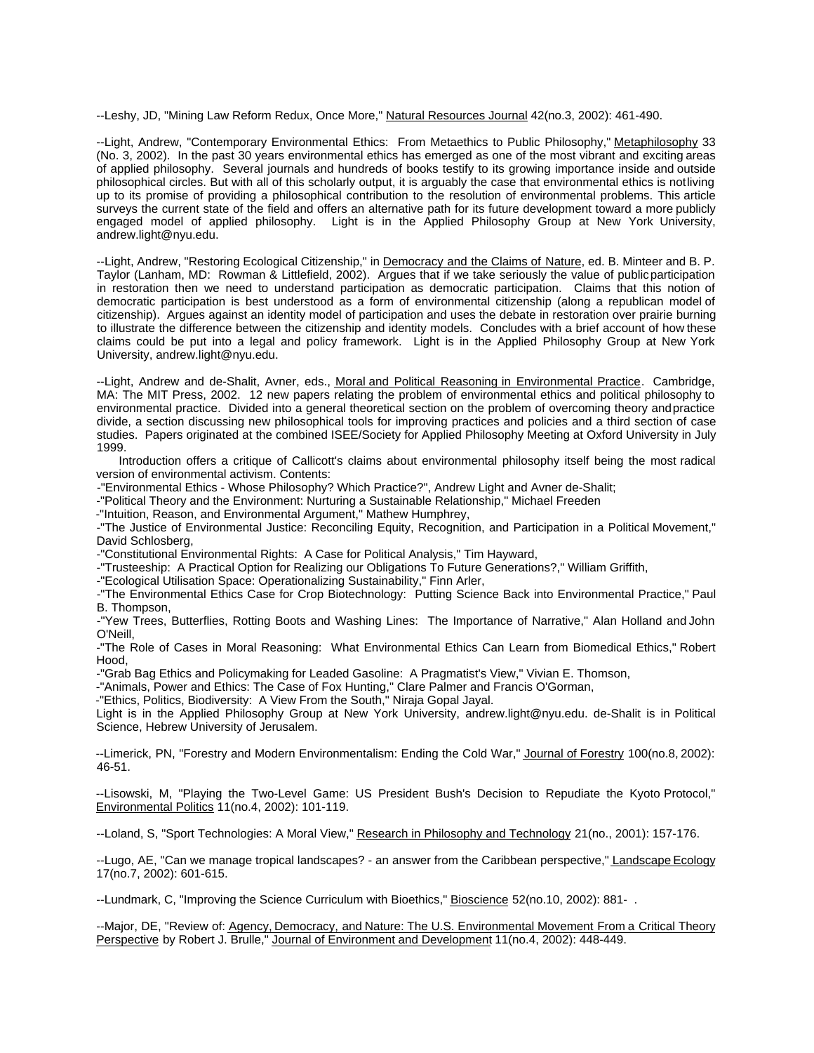--Leshy, JD, "Mining Law Reform Redux, Once More," Natural Resources Journal 42(no.3, 2002): 461-490.

--Light, Andrew, "Contemporary Environmental Ethics: From Metaethics to Public Philosophy," Metaphilosophy 33 (No. 3, 2002). In the past 30 years environmental ethics has emerged as one of the most vibrant and exciting areas of applied philosophy. Several journals and hundreds of books testify to its growing importance inside and outside philosophical circles. But with all of this scholarly output, it is arguably the case that environmental ethics is not living up to its promise of providing a philosophical contribution to the resolution of environmental problems. This article surveys the current state of the field and offers an alternative path for its future development toward a more publicly engaged model of applied philosophy. Light is in the Applied Philosophy Group at New York University, andrew.light@nyu.edu.

--Light, Andrew, "Restoring Ecological Citizenship," in Democracy and the Claims of Nature, ed. B. Minteer and B. P. Taylor (Lanham, MD: Rowman & Littlefield, 2002). Argues that if we take seriously the value of public participation in restoration then we need to understand participation as democratic participation. Claims that this notion of democratic participation is best understood as a form of environmental citizenship (along a republican model of citizenship). Argues against an identity model of participation and uses the debate in restoration over prairie burning to illustrate the difference between the citizenship and identity models. Concludes with a brief account of how these claims could be put into a legal and policy framework. Light is in the Applied Philosophy Group at New York University, andrew.light@nyu.edu.

--Light, Andrew and de-Shalit, Avner, eds., Moral and Political Reasoning in Environmental Practice. Cambridge, MA: The MIT Press, 2002. 12 new papers relating the problem of environmental ethics and political philosophy to environmental practice. Divided into a general theoretical section on the problem of overcoming theory and practice divide, a section discussing new philosophical tools for improving practices and policies and a third section of case studies. Papers originated at the combined ISEE/Society for Applied Philosophy Meeting at Oxford University in July 1999.

Introduction offers a critique of Callicott's claims about environmental philosophy itself being the most radical version of environmental activism. Contents:

-"Environmental Ethics - Whose Philosophy? Which Practice?", Andrew Light and Avner de-Shalit;

-"Political Theory and the Environment: Nurturing a Sustainable Relationship," Michael Freeden

-"Intuition, Reason, and Environmental Argument," Mathew Humphrey,

-"The Justice of Environmental Justice: Reconciling Equity, Recognition, and Participation in a Political Movement," David Schlosberg,

-"Constitutional Environmental Rights: A Case for Political Analysis," Tim Hayward,

-"Trusteeship: A Practical Option for Realizing our Obligations To Future Generations?," William Griffith,

-"Ecological Utilisation Space: Operationalizing Sustainability," Finn Arler,

-"The Environmental Ethics Case for Crop Biotechnology: Putting Science Back into Environmental Practice," Paul B. Thompson,

-"Yew Trees, Butterflies, Rotting Boots and Washing Lines: The Importance of Narrative," Alan Holland and John O'Neill,

-"The Role of Cases in Moral Reasoning: What Environmental Ethics Can Learn from Biomedical Ethics," Robert Hood,

-"Grab Bag Ethics and Policymaking for Leaded Gasoline: A Pragmatist's View," Vivian E. Thomson,

-"Animals, Power and Ethics: The Case of Fox Hunting," Clare Palmer and Francis O'Gorman,

-"Ethics, Politics, Biodiversity: A View From the South," Niraja Gopal Jayal.

Light is in the Applied Philosophy Group at New York University, andrew.light@nyu.edu. de-Shalit is in Political Science, Hebrew University of Jerusalem.

--Limerick, PN, "Forestry and Modern Environmentalism: Ending the Cold War," Journal of Forestry 100(no.8, 2002): 46-51.

--Lisowski, M, "Playing the Two-Level Game: US President Bush's Decision to Repudiate the Kyoto Protocol," Environmental Politics 11(no.4, 2002): 101-119.

--Loland, S, "Sport Technologies: A Moral View," Research in Philosophy and Technology 21(no., 2001): 157-176.

--Lugo, AE, "Can we manage tropical landscapes? - an answer from the Caribbean perspective," Landscape Ecology 17(no.7, 2002): 601-615.

--Lundmark, C, "Improving the Science Curriculum with Bioethics," Bioscience 52(no.10, 2002): 881- .

--Major, DE, "Review of: Agency, Democracy, and Nature: The U.S. Environmental Movement From a Critical Theory Perspective by Robert J. Brulle," Journal of Environment and Development 11(no.4, 2002): 448-449.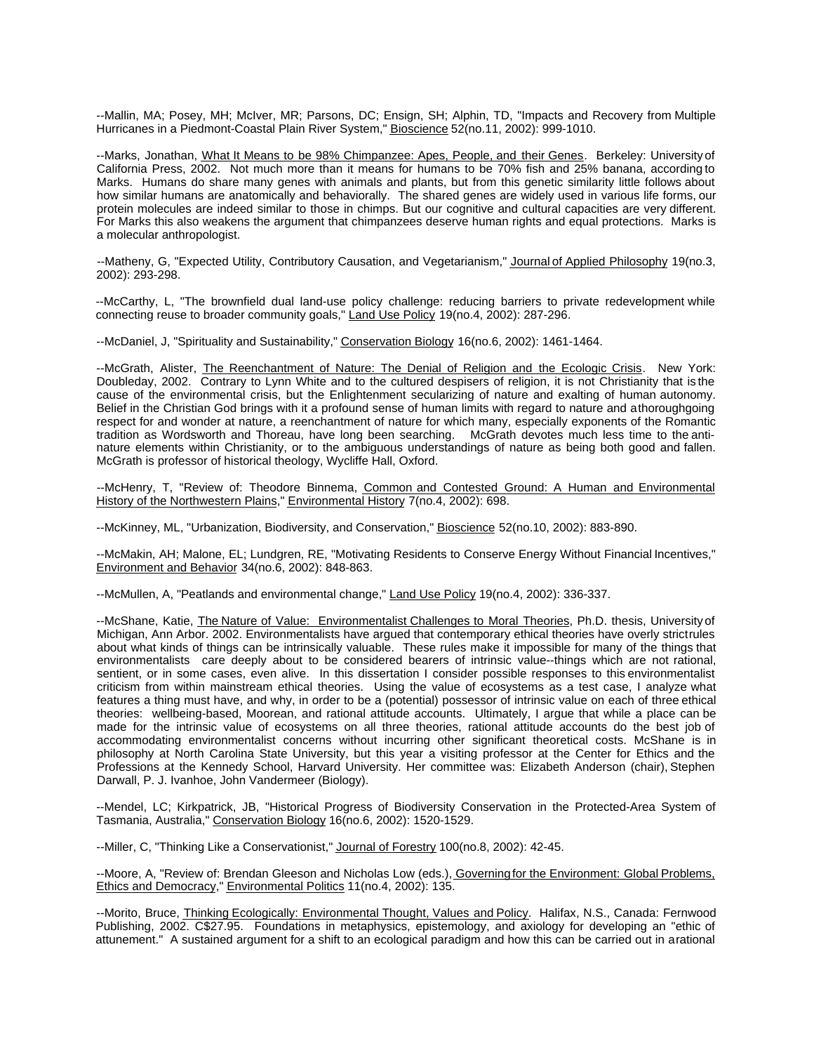--Mallin, MA; Posey, MH; McIver, MR; Parsons, DC; Ensign, SH; Alphin, TD, "Impacts and Recovery from Multiple Hurricanes in a Piedmont-Coastal Plain River System," Bioscience 52(no.11, 2002): 999-1010.

--Marks, Jonathan, What It Means to be 98% Chimpanzee: Apes, People, and their Genes. Berkeley: University of California Press, 2002. Not much more than it means for humans to be 70% fish and 25% banana, according to Marks. Humans do share many genes with animals and plants, but from this genetic similarity little follows about how similar humans are anatomically and behaviorally. The shared genes are widely used in various life forms, our protein molecules are indeed similar to those in chimps. But our cognitive and cultural capacities are very different. For Marks this also weakens the argument that chimpanzees deserve human rights and equal protections. Marks is a molecular anthropologist.

--Matheny, G, "Expected Utility, Contributory Causation, and Vegetarianism," Journal of Applied Philosophy 19(no.3, 2002): 293-298.

--McCarthy, L, "The brownfield dual land-use policy challenge: reducing barriers to private redevelopment while connecting reuse to broader community goals," Land Use Policy 19(no.4, 2002): 287-296.

--McDaniel, J, "Spirituality and Sustainability," Conservation Biology 16(no.6, 2002): 1461-1464.

--McGrath, Alister, The Reenchantment of Nature: The Denial of Religion and the Ecologic Crisis. New York: Doubleday, 2002. Contrary to Lynn White and to the cultured despisers of religion, it is not Christianity that is the cause of the environmental crisis, but the Enlightenment secularizing of nature and exalting of human autonomy. Belief in the Christian God brings with it a profound sense of human limits with regard to nature and a thoroughgoing respect for and wonder at nature, a reenchantment of nature for which many, especially exponents of the Romantic tradition as Wordsworth and Thoreau, have long been searching. McGrath devotes much less time to the antinature elements within Christianity, or to the ambiguous understandings of nature as being both good and fallen. McGrath is professor of historical theology, Wycliffe Hall, Oxford.

--McHenry, T, "Review of: Theodore Binnema, Common and Contested Ground: A Human and Environmental History of the Northwestern Plains," Environmental History 7(no.4, 2002): 698.

--McKinney, ML, "Urbanization, Biodiversity, and Conservation," Bioscience 52(no.10, 2002): 883-890.

--McMakin, AH; Malone, EL; Lundgren, RE, "Motivating Residents to Conserve Energy Without Financial Incentives," Environment and Behavior 34(no.6, 2002): 848-863.

--McMullen, A, "Peatlands and environmental change," Land Use Policy 19(no.4, 2002): 336-337.

--McShane, Katie, The Nature of Value: Environmentalist Challenges to Moral Theories, Ph.D. thesis, University of Michigan, Ann Arbor. 2002. Environmentalists have argued that contemporary ethical theories have overly strictrules about what kinds of things can be intrinsically valuable. These rules make it impossible for many of the things that environmentalists care deeply about to be considered bearers of intrinsic value--things which are not rational, sentient, or in some cases, even alive. In this dissertation I consider possible responses to this environmentalist criticism from within mainstream ethical theories. Using the value of ecosystems as a test case, I analyze what features a thing must have, and why, in order to be a (potential) possessor of intrinsic value on each of three ethical theories: wellbeing-based, Moorean, and rational attitude accounts. Ultimately, I argue that while a place can be made for the intrinsic value of ecosystems on all three theories, rational attitude accounts do the best job of accommodating environmentalist concerns without incurring other significant theoretical costs. McShane is in philosophy at North Carolina State University, but this year a visiting professor at the Center for Ethics and the Professions at the Kennedy School, Harvard University. Her committee was: Elizabeth Anderson (chair), Stephen Darwall, P. J. Ivanhoe, John Vandermeer (Biology).

--Mendel, LC; Kirkpatrick, JB, "Historical Progress of Biodiversity Conservation in the Protected-Area System of Tasmania, Australia," Conservation Biology 16(no.6, 2002): 1520-1529.

--Miller, C, "Thinking Like a Conservationist," Journal of Forestry 100(no.8, 2002): 42-45.

--Moore, A, "Review of: Brendan Gleeson and Nicholas Low (eds.), Governing for the Environment: Global Problems, Ethics and Democracy," Environmental Politics 11(no.4, 2002): 135.

--Morito, Bruce, Thinking Ecologically: Environmental Thought, Values and Policy. Halifax, N.S., Canada: Fernwood Publishing, 2002. C\$27.95. Foundations in metaphysics, epistemology, and axiology for developing an "ethic of attunement." A sustained argument for a shift to an ecological paradigm and how this can be carried out in a rational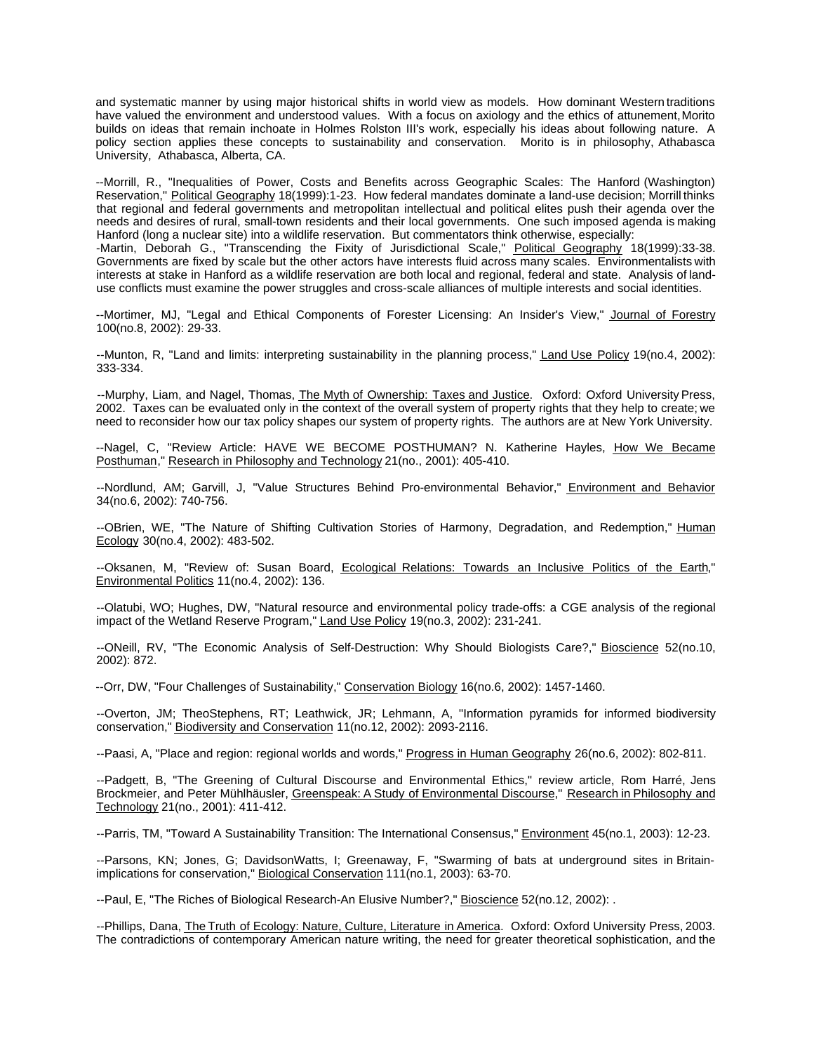and systematic manner by using major historical shifts in world view as models. How dominant Western traditions have valued the environment and understood values. With a focus on axiology and the ethics of attunement, Morito builds on ideas that remain inchoate in Holmes Rolston III's work, especially his ideas about following nature. A policy section applies these concepts to sustainability and conservation. Morito is in philosophy, Athabasca University, Athabasca, Alberta, CA.

--Morrill, R., "Inequalities of Power, Costs and Benefits across Geographic Scales: The Hanford (Washington) Reservation," Political Geography 18(1999):1-23. How federal mandates dominate a land-use decision; Morrill thinks that regional and federal governments and metropolitan intellectual and political elites push their agenda over the needs and desires of rural, small-town residents and their local governments. One such imposed agenda is making Hanford (long a nuclear site) into a wildlife reservation. But commentators think otherwise, especially:

-Martin, Deborah G., "Transcending the Fixity of Jurisdictional Scale," Political Geography 18(1999):33-38. Governments are fixed by scale but the other actors have interests fluid across many scales. Environmentalists with interests at stake in Hanford as a wildlife reservation are both local and regional, federal and state. Analysis of landuse conflicts must examine the power struggles and cross-scale alliances of multiple interests and social identities.

--Mortimer, MJ, "Legal and Ethical Components of Forester Licensing: An Insider's View," Journal of Forestry 100(no.8, 2002): 29-33.

--Munton, R, "Land and limits: interpreting sustainability in the planning process," Land Use Policy 19(no.4, 2002): 333-334.

--Murphy, Liam, and Nagel, Thomas, The Myth of Ownership: Taxes and Justice. Oxford: Oxford University Press, 2002. Taxes can be evaluated only in the context of the overall system of property rights that they help to create; we need to reconsider how our tax policy shapes our system of property rights. The authors are at New York University.

--Nagel, C, "Review Article: HAVE WE BECOME POSTHUMAN? N. Katherine Hayles, How We Became Posthuman," Research in Philosophy and Technology 21(no., 2001): 405-410.

--Nordlund, AM; Garvill, J, "Value Structures Behind Pro-environmental Behavior," Environment and Behavior 34(no.6, 2002): 740-756.

--OBrien, WE, "The Nature of Shifting Cultivation Stories of Harmony, Degradation, and Redemption," Human Ecology 30(no.4, 2002): 483-502.

--Oksanen, M, "Review of: Susan Board, Ecological Relations: Towards an Inclusive Politics of the Earth," Environmental Politics 11(no.4, 2002): 136.

--Olatubi, WO; Hughes, DW, "Natural resource and environmental policy trade-offs: a CGE analysis of the regional impact of the Wetland Reserve Program," Land Use Policy 19(no.3, 2002): 231-241.

--ONeill, RV, "The Economic Analysis of Self-Destruction: Why Should Biologists Care?," Bioscience 52(no.10, 2002): 872.

--Orr, DW, "Four Challenges of Sustainability," Conservation Biology 16(no.6, 2002): 1457-1460.

--Overton, JM; TheoStephens, RT; Leathwick, JR; Lehmann, A, "Information pyramids for informed biodiversity conservation," Biodiversity and Conservation 11(no.12, 2002): 2093-2116.

--Paasi, A, "Place and region: regional worlds and words," Progress in Human Geography 26(no.6, 2002): 802-811.

--Padgett, B, "The Greening of Cultural Discourse and Environmental Ethics," review article, Rom Harré, Jens Brockmeier, and Peter Mühlhäusler, Greenspeak: A Study of Environmental Discourse," Research in Philosophy and Technology 21(no., 2001): 411-412.

--Parris, TM, "Toward A Sustainability Transition: The International Consensus," Environment 45(no.1, 2003): 12-23.

--Parsons, KN; Jones, G; DavidsonWatts, I; Greenaway, F, "Swarming of bats at underground sites in Britainimplications for conservation," Biological Conservation 111(no.1, 2003): 63-70.

--Paul, E, "The Riches of Biological Research-An Elusive Number?," Bioscience 52(no.12, 2002): .

--Phillips, Dana, The Truth of Ecology: Nature, Culture, Literature in America. Oxford: Oxford University Press, 2003. The contradictions of contemporary American nature writing, the need for greater theoretical sophistication, and the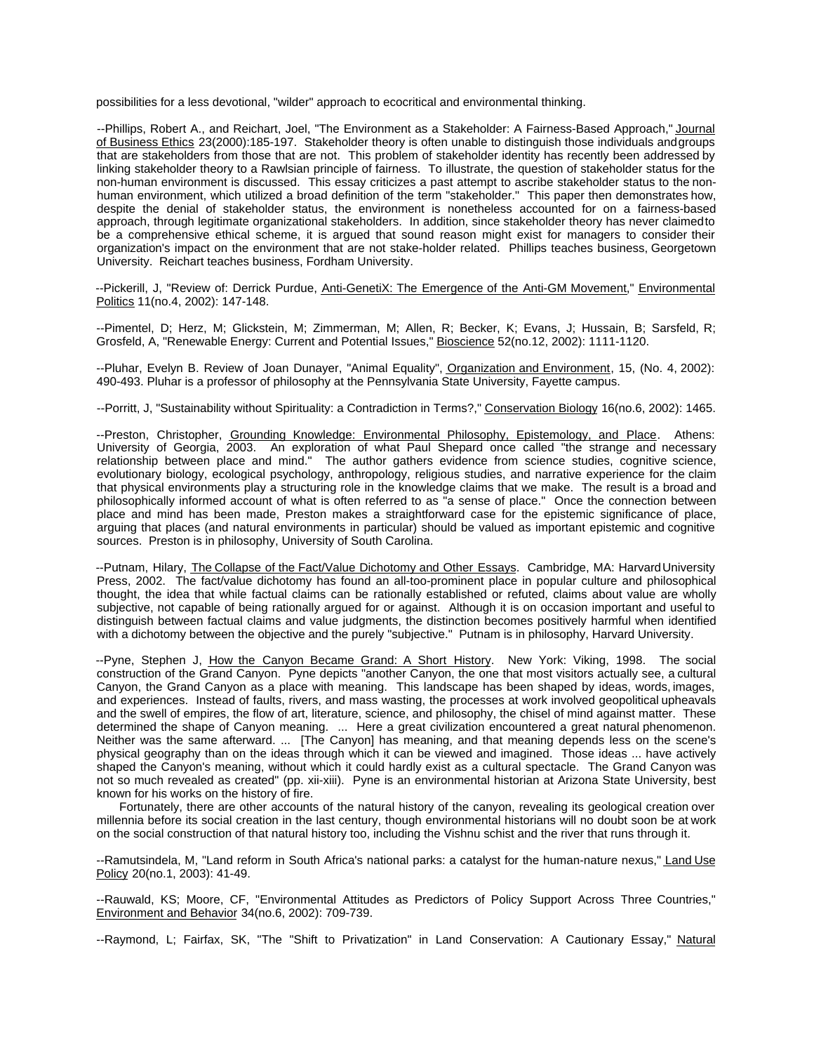possibilities for a less devotional, "wilder" approach to ecocritical and environmental thinking.

--Phillips, Robert A., and Reichart, Joel, "The Environment as a Stakeholder: A Fairness-Based Approach," Journal of Business Ethics 23(2000):185-197. Stakeholder theory is often unable to distinguish those individuals and groups that are stakeholders from those that are not. This problem of stakeholder identity has recently been addressed by linking stakeholder theory to a Rawlsian principle of fairness. To illustrate, the question of stakeholder status for the non-human environment is discussed. This essay criticizes a past attempt to ascribe stakeholder status to the nonhuman environment, which utilized a broad definition of the term "stakeholder." This paper then demonstrates how, despite the denial of stakeholder status, the environment is nonetheless accounted for on a fairness-based approach, through legitimate organizational stakeholders. In addition, since stakeholder theory has never claimed to be a comprehensive ethical scheme, it is argued that sound reason might exist for managers to consider their organization's impact on the environment that are not stake-holder related. Phillips teaches business, Georgetown University. Reichart teaches business, Fordham University.

--Pickerill, J, "Review of: Derrick Purdue, Anti-GenetiX: The Emergence of the Anti-GM Movement," Environmental Politics 11(no.4, 2002): 147-148.

--Pimentel, D; Herz, M; Glickstein, M; Zimmerman, M; Allen, R; Becker, K; Evans, J; Hussain, B; Sarsfeld, R; Grosfeld, A, "Renewable Energy: Current and Potential Issues," Bioscience 52(no.12, 2002): 1111-1120.

--Pluhar, Evelyn B. Review of Joan Dunayer, "Animal Equality", Organization and Environment, 15, (No. 4, 2002): 490-493. Pluhar is a professor of philosophy at the Pennsylvania State University, Fayette campus.

--Porritt, J, "Sustainability without Spirituality: a Contradiction in Terms?," Conservation Biology 16(no.6, 2002): 1465.

--Preston, Christopher, Grounding Knowledge: Environmental Philosophy, Epistemology, and Place. Athens: University of Georgia, 2003. An exploration of what Paul Shepard once called "the strange and necessary relationship between place and mind." The author gathers evidence from science studies, cognitive science, evolutionary biology, ecological psychology, anthropology, religious studies, and narrative experience for the claim that physical environments play a structuring role in the knowledge claims that we make. The result is a broad and philosophically informed account of what is often referred to as "a sense of place." Once the connection between place and mind has been made, Preston makes a straightforward case for the epistemic significance of place, arguing that places (and natural environments in particular) should be valued as important epistemic and cognitive sources. Preston is in philosophy, University of South Carolina.

--Putnam, Hilary, The Collapse of the Fact/Value Dichotomy and Other Essays. Cambridge, MA: Harvard University Press, 2002. The fact/value dichotomy has found an all-too-prominent place in popular culture and philosophical thought, the idea that while factual claims can be rationally established or refuted, claims about value are wholly subjective, not capable of being rationally argued for or against. Although it is on occasion important and useful to distinguish between factual claims and value judgments, the distinction becomes positively harmful when identified with a dichotomy between the objective and the purely "subjective." Putnam is in philosophy, Harvard University.

--Pyne, Stephen J, How the Canyon Became Grand: A Short History. New York: Viking, 1998. The social construction of the Grand Canyon. Pyne depicts "another Canyon, the one that most visitors actually see, a cultural Canyon, the Grand Canyon as a place with meaning. This landscape has been shaped by ideas, words, images, and experiences. Instead of faults, rivers, and mass wasting, the processes at work involved geopolitical upheavals and the swell of empires, the flow of art, literature, science, and philosophy, the chisel of mind against matter. These determined the shape of Canyon meaning. ... Here a great civilization encountered a great natural phenomenon. Neither was the same afterward. ... [The Canyon] has meaning, and that meaning depends less on the scene's physical geography than on the ideas through which it can be viewed and imagined. Those ideas ... have actively shaped the Canyon's meaning, without which it could hardly exist as a cultural spectacle. The Grand Canyon was not so much revealed as created" (pp. xii-xiii). Pyne is an environmental historian at Arizona State University, best known for his works on the history of fire.

Fortunately, there are other accounts of the natural history of the canyon, revealing its geological creation over millennia before its social creation in the last century, though environmental historians will no doubt soon be at work on the social construction of that natural history too, including the Vishnu schist and the river that runs through it.

--Ramutsindela, M, "Land reform in South Africa's national parks: a catalyst for the human-nature nexus," Land Use Policy 20(no.1, 2003): 41-49.

--Rauwald, KS; Moore, CF, "Environmental Attitudes as Predictors of Policy Support Across Three Countries," Environment and Behavior 34(no.6, 2002): 709-739.

--Raymond, L; Fairfax, SK, "The "Shift to Privatization" in Land Conservation: A Cautionary Essay," Natural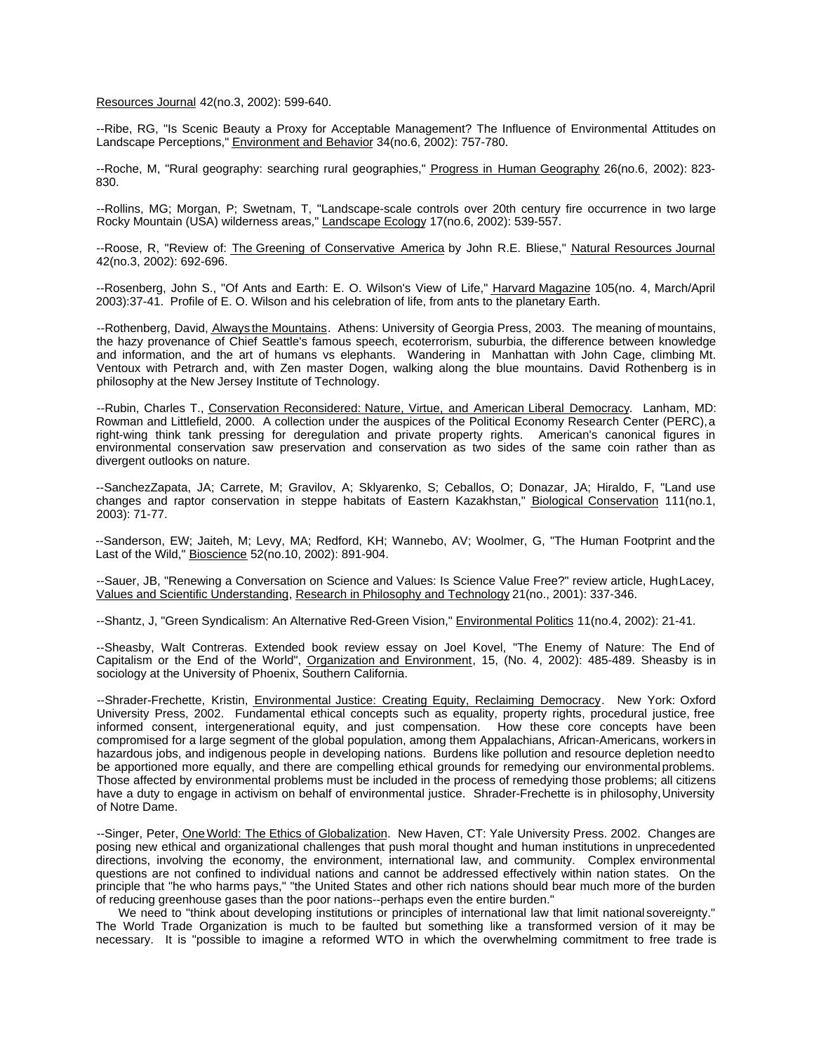Resources Journal 42(no.3, 2002): 599-640.

--Ribe, RG, "Is Scenic Beauty a Proxy for Acceptable Management? The Influence of Environmental Attitudes on Landscape Perceptions," Environment and Behavior 34(no.6, 2002): 757-780.

--Roche, M, "Rural geography: searching rural geographies," Progress in Human Geography 26(no.6, 2002): 823- 830.

--Rollins, MG; Morgan, P; Swetnam, T, "Landscape-scale controls over 20th century fire occurrence in two large Rocky Mountain (USA) wilderness areas," Landscape Ecology 17(no.6, 2002): 539-557.

--Roose, R, "Review of: The Greening of Conservative America by John R.E. Bliese," Natural Resources Journal 42(no.3, 2002): 692-696.

--Rosenberg, John S., "Of Ants and Earth: E. O. Wilson's View of Life," Harvard Magazine 105(no. 4, March/April 2003):37-41. Profile of E. O. Wilson and his celebration of life, from ants to the planetary Earth.

--Rothenberg, David, Always the Mountains. Athens: University of Georgia Press, 2003. The meaning of mountains, the hazy provenance of Chief Seattle's famous speech, ecoterrorism, suburbia, the difference between knowledge and information, and the art of humans vs elephants. Wandering in Manhattan with John Cage, climbing Mt. Ventoux with Petrarch and, with Zen master Dogen, walking along the blue mountains. David Rothenberg is in philosophy at the New Jersey Institute of Technology.

--Rubin, Charles T., Conservation Reconsidered: Nature, Virtue, and American Liberal Democracy. Lanham, MD: Rowman and Littlefield, 2000. A collection under the auspices of the Political Economy Research Center (PERC), a right-wing think tank pressing for deregulation and private property rights. American's canonical figures in environmental conservation saw preservation and conservation as two sides of the same coin rather than as divergent outlooks on nature.

--SanchezZapata, JA; Carrete, M; Gravilov, A; Sklyarenko, S; Ceballos, O; Donazar, JA; Hiraldo, F, "Land use changes and raptor conservation in steppe habitats of Eastern Kazakhstan," Biological Conservation 111(no.1, 2003): 71-77.

--Sanderson, EW; Jaiteh, M; Levy, MA; Redford, KH; Wannebo, AV; Woolmer, G, "The Human Footprint and the Last of the Wild," Bioscience 52(no.10, 2002): 891-904.

--Sauer, JB, "Renewing a Conversation on Science and Values: Is Science Value Free?" review article, Hugh Lacey, Values and Scientific Understanding, Research in Philosophy and Technology 21(no., 2001): 337-346.

--Shantz, J, "Green Syndicalism: An Alternative Red-Green Vision," Environmental Politics 11(no.4, 2002): 21-41.

--Sheasby, Walt Contreras. Extended book review essay on Joel Kovel, "The Enemy of Nature: The End of Capitalism or the End of the World", Organization and Environment, 15, (No. 4, 2002): 485-489. Sheasby is in sociology at the University of Phoenix, Southern California.

--Shrader-Frechette, Kristin, *Environmental Justice: Creating Equity, Reclaiming Democracy*. New York: Oxford University Press, 2002. Fundamental ethical concepts such as equality, property rights, procedural justice, free informed consent, intergenerational equity, and just compensation. How these core concepts have been compromised for a large segment of the global population, among them Appalachians, African-Americans, workers in hazardous jobs, and indigenous people in developing nations. Burdens like pollution and resource depletion need to be apportioned more equally, and there are compelling ethical grounds for remedying our environmental problems. Those affected by environmental problems must be included in the process of remedying those problems; all citizens have a duty to engage in activism on behalf of environmental justice. Shrader-Frechette is in philosophy, University of Notre Dame.

--Singer, Peter, One World: The Ethics of Globalization. New Haven, CT: Yale University Press. 2002. Changes are posing new ethical and organizational challenges that push moral thought and human institutions in unprecedented directions, involving the economy, the environment, international law, and community. Complex environmental questions are not confined to individual nations and cannot be addressed effectively within nation states. On the principle that "he who harms pays," "the United States and other rich nations should bear much more of the burden of reducing greenhouse gases than the poor nations--perhaps even the entire burden."

We need to "think about developing institutions or principles of international law that limit national sovereignty." The World Trade Organization is much to be faulted but something like a transformed version of it may be necessary. It is "possible to imagine a reformed WTO in which the overwhelming commitment to free trade is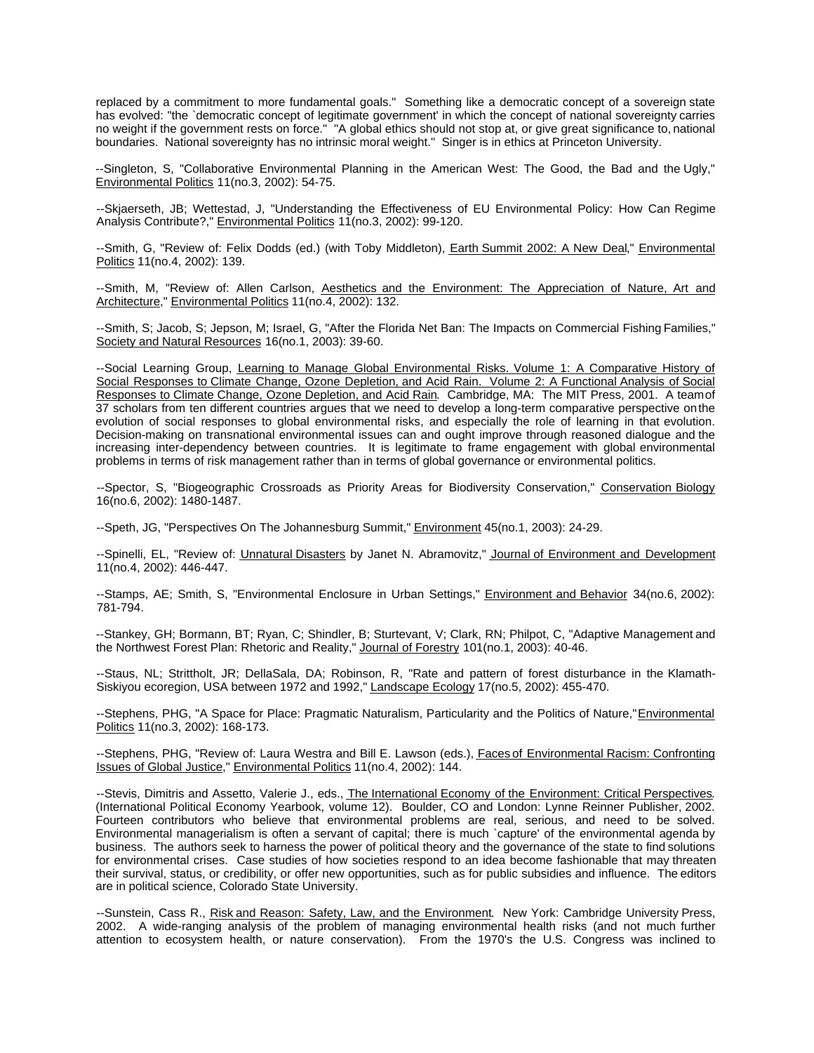replaced by a commitment to more fundamental goals." Something like a democratic concept of a sovereign state has evolved: "the `democratic concept of legitimate government' in which the concept of national sovereignty carries no weight if the government rests on force." "A global ethics should not stop at, or give great significance to, national boundaries. National sovereignty has no intrinsic moral weight." Singer is in ethics at Princeton University.

--Singleton, S, "Collaborative Environmental Planning in the American West: The Good, the Bad and the Ugly," Environmental Politics 11(no.3, 2002): 54-75.

--Skjaerseth, JB; Wettestad, J, "Understanding the Effectiveness of EU Environmental Policy: How Can Regime Analysis Contribute?," Environmental Politics 11(no.3, 2002): 99-120.

--Smith, G, "Review of: Felix Dodds (ed.) (with Toby Middleton), Earth Summit 2002: A New Deal," Environmental Politics 11(no.4, 2002): 139.

--Smith, M, "Review of: Allen Carlson, Aesthetics and the Environment: The Appreciation of Nature, Art and Architecture," Environmental Politics 11(no.4, 2002): 132.

--Smith, S; Jacob, S; Jepson, M; Israel, G, "After the Florida Net Ban: The Impacts on Commercial Fishing Families," Society and Natural Resources 16(no.1, 2003): 39-60.

--Social Learning Group, Learning to Manage Global Environmental Risks. Volume 1: A Comparative History of Social Responses to Climate Change, Ozone Depletion, and Acid Rain. Volume 2: A Functional Analysis of Social Responses to Climate Change, Ozone Depletion, and Acid Rain. Cambridge, MA: The MIT Press, 2001. A team of 37 scholars from ten different countries argues that we need to develop a long-term comparative perspective on the evolution of social responses to global environmental risks, and especially the role of learning in that evolution. Decision-making on transnational environmental issues can and ought improve through reasoned dialogue and the increasing inter-dependency between countries. It is legitimate to frame engagement with global environmental problems in terms of risk management rather than in terms of global governance or environmental politics.

--Spector, S, "Biogeographic Crossroads as Priority Areas for Biodiversity Conservation," Conservation Biology 16(no.6, 2002): 1480-1487.

--Speth, JG, "Perspectives On The Johannesburg Summit," **Environment 45(no.1, 2003): 24-29.** 

--Spinelli, EL, "Review of: Unnatural Disasters by Janet N. Abramovitz," Journal of Environment and Development 11(no.4, 2002): 446-447.

--Stamps, AE; Smith, S, "Environmental Enclosure in Urban Settings," Environment and Behavior 34(no.6, 2002): 781-794.

--Stankey, GH; Bormann, BT; Ryan, C; Shindler, B; Sturtevant, V; Clark, RN; Philpot, C, "Adaptive Management and the Northwest Forest Plan: Rhetoric and Reality," Journal of Forestry 101(no.1, 2003): 40-46.

--Staus, NL; Strittholt, JR; DellaSala, DA; Robinson, R, "Rate and pattern of forest disturbance in the Klamath-Siskiyou ecoregion, USA between 1972 and 1992," Landscape Ecology 17(no.5, 2002): 455-470.

--Stephens, PHG, "A Space for Place: Pragmatic Naturalism, Particularity and the Politics of Nature," Environmental Politics 11(no.3, 2002): 168-173.

--Stephens, PHG, "Review of: Laura Westra and Bill E. Lawson (eds.), Faces of Environmental Racism: Confronting Issues of Global Justice," Environmental Politics 11(no.4, 2002): 144.

--Stevis, Dimitris and Assetto, Valerie J., eds., The International Economy of the Environment: Critical Perspectives. (International Political Economy Yearbook, volume 12). Boulder, CO and London: Lynne Reinner Publisher, 2002. Fourteen contributors who believe that environmental problems are real, serious, and need to be solved. Environmental managerialism is often a servant of capital; there is much `capture' of the environmental agenda by business. The authors seek to harness the power of political theory and the governance of the state to find solutions for environmental crises. Case studies of how societies respond to an idea become fashionable that may threaten their survival, status, or credibility, or offer new opportunities, such as for public subsidies and influence. The editors are in political science, Colorado State University.

--Sunstein, Cass R., Risk and Reason: Safety, Law, and the Environment. New York: Cambridge University Press, 2002. A wide-ranging analysis of the problem of managing environmental health risks (and not much further attention to ecosystem health, or nature conservation). From the 1970's the U.S. Congress was inclined to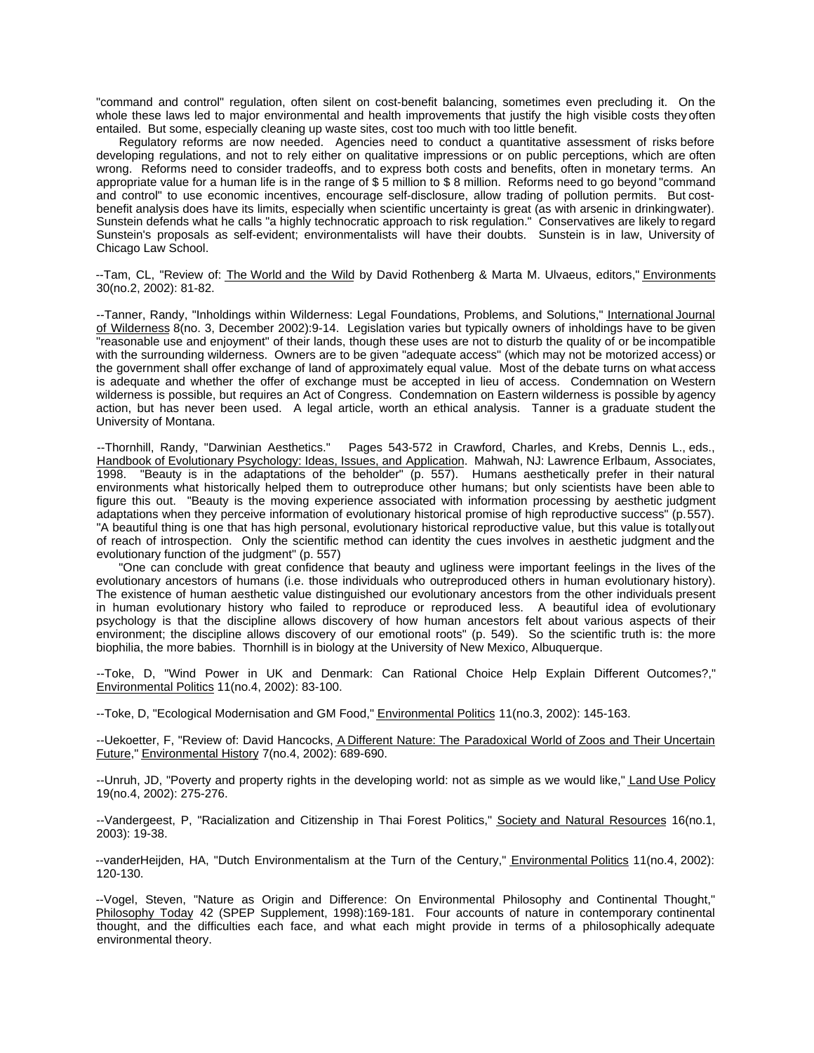"command and control" regulation, often silent on cost-benefit balancing, sometimes even precluding it. On the whole these laws led to major environmental and health improvements that justify the high visible costs they often entailed. But some, especially cleaning up waste sites, cost too much with too little benefit.

Regulatory reforms are now needed. Agencies need to conduct a quantitative assessment of risks before developing regulations, and not to rely either on qualitative impressions or on public perceptions, which are often wrong. Reforms need to consider tradeoffs, and to express both costs and benefits, often in monetary terms. An appropriate value for a human life is in the range of \$ 5 million to \$ 8 million. Reforms need to go beyond "command and control" to use economic incentives, encourage self-disclosure, allow trading of pollution permits. But costbenefit analysis does have its limits, especially when scientific uncertainty is great (as with arsenic in drinking water). Sunstein defends what he calls "a highly technocratic approach to risk regulation." Conservatives are likely to regard Sunstein's proposals as self-evident; environmentalists will have their doubts. Sunstein is in law, University of Chicago Law School.

--Tam, CL, "Review of: The World and the Wild by David Rothenberg & Marta M. Ulvaeus, editors," Environments 30(no.2, 2002): 81-82.

--Tanner, Randy, "Inholdings within Wilderness: Legal Foundations, Problems, and Solutions," International Journal of Wilderness 8(no. 3, December 2002):9-14. Legislation varies but typically owners of inholdings have to be given "reasonable use and enjoyment" of their lands, though these uses are not to disturb the quality of or be incompatible with the surrounding wilderness. Owners are to be given "adequate access" (which may not be motorized access) or the government shall offer exchange of land of approximately equal value. Most of the debate turns on what access is adequate and whether the offer of exchange must be accepted in lieu of access. Condemnation on Western wilderness is possible, but requires an Act of Congress. Condemnation on Eastern wilderness is possible by agency action, but has never been used. A legal article, worth an ethical analysis. Tanner is a graduate student the University of Montana.

--Thornhill, Randy, "Darwinian Aesthetics." Pages 543-572 in Crawford, Charles, and Krebs, Dennis L., eds., Handbook of Evolutionary Psychology: Ideas, Issues, and Application. Mahwah, NJ: Lawrence Erlbaum, Associates, 1998. "Beauty is in the adaptations of the beholder" (p. 557). Humans aesthetically prefer in their natural environments what historically helped them to outreproduce other humans; but only scientists have been able to figure this out. "Beauty is the moving experience associated with information processing by aesthetic judgment adaptations when they perceive information of evolutionary historical promise of high reproductive success" (p. 557). "A beautiful thing is one that has high personal, evolutionary historical reproductive value, but this value is totally out of reach of introspection. Only the scientific method can identity the cues involves in aesthetic judgment and the evolutionary function of the judgment" (p. 557)

"One can conclude with great confidence that beauty and ugliness were important feelings in the lives of the evolutionary ancestors of humans (i.e. those individuals who outreproduced others in human evolutionary history). The existence of human aesthetic value distinguished our evolutionary ancestors from the other individuals present in human evolutionary history who failed to reproduce or reproduced less. A beautiful idea of evolutionary psychology is that the discipline allows discovery of how human ancestors felt about various aspects of their environment; the discipline allows discovery of our emotional roots" (p. 549). So the scientific truth is: the more biophilia, the more babies. Thornhill is in biology at the University of New Mexico, Albuquerque.

--Toke, D, "Wind Power in UK and Denmark: Can Rational Choice Help Explain Different Outcomes?," Environmental Politics 11(no.4, 2002): 83-100.

--Toke, D, "Ecological Modernisation and GM Food," Environmental Politics 11(no.3, 2002): 145-163.

--Uekoetter, F, "Review of: David Hancocks, A Different Nature: The Paradoxical World of Zoos and Their Uncertain Future," Environmental History 7(no.4, 2002): 689-690.

--Unruh, JD, "Poverty and property rights in the developing world: not as simple as we would like," Land Use Policy 19(no.4, 2002): 275-276.

--Vandergeest, P, "Racialization and Citizenship in Thai Forest Politics," Society and Natural Resources 16(no.1, 2003): 19-38.

--vanderHeijden, HA, "Dutch Environmentalism at the Turn of the Century," *Environmental Politics* 11(no.4, 2002): 120-130.

--Vogel, Steven, "Nature as Origin and Difference: On Environmental Philosophy and Continental Thought," Philosophy Today 42 (SPEP Supplement, 1998):169-181. Four accounts of nature in contemporary continental thought, and the difficulties each face, and what each might provide in terms of a philosophically adequate environmental theory.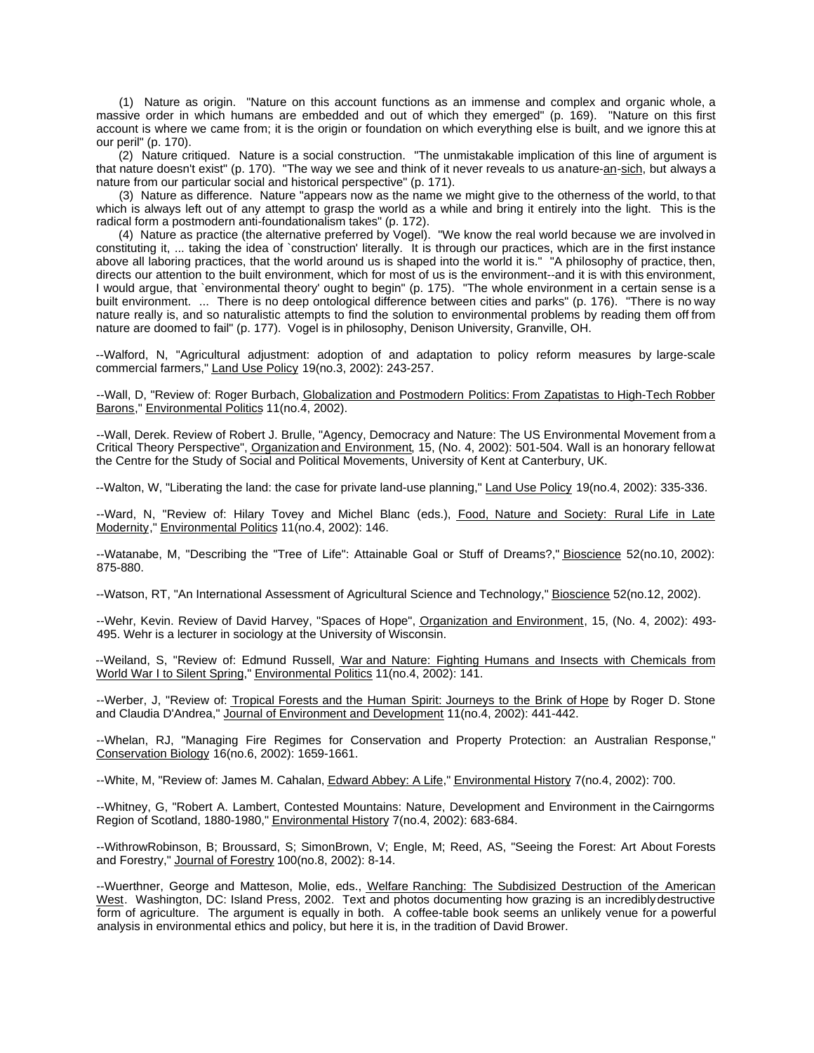(1) Nature as origin. "Nature on this account functions as an immense and complex and organic whole, a massive order in which humans are embedded and out of which they emerged" (p. 169). "Nature on this first account is where we came from; it is the origin or foundation on which everything else is built, and we ignore this at our peril" (p. 170).

(2) Nature critiqued. Nature is a social construction. "The unmistakable implication of this line of argument is that nature doesn't exist" (p. 170). "The way we see and think of it never reveals to us a nature-an-sich, but always a nature from our particular social and historical perspective" (p. 171).

(3) Nature as difference. Nature "appears now as the name we might give to the otherness of the world, to that which is always left out of any attempt to grasp the world as a while and bring it entirely into the light. This is the radical form a postmodern anti-foundationalism takes" (p. 172).

(4) Nature as practice (the alternative preferred by Vogel). "We know the real world because we are involved in constituting it, ... taking the idea of `construction' literally. It is through our practices, which are in the first instance above all laboring practices, that the world around us is shaped into the world it is." "A philosophy of practice, then, directs our attention to the built environment, which for most of us is the environment--and it is with this environment, I would argue, that `environmental theory' ought to begin" (p. 175). "The whole environment in a certain sense is a built environment. ... There is no deep ontological difference between cities and parks" (p. 176). "There is no way nature really is, and so naturalistic attempts to find the solution to environmental problems by reading them off from nature are doomed to fail" (p. 177). Vogel is in philosophy, Denison University, Granville, OH.

--Walford, N, "Agricultural adjustment: adoption of and adaptation to policy reform measures by large-scale commercial farmers," Land Use Policy 19(no.3, 2002): 243-257.

--Wall, D, "Review of: Roger Burbach, Globalization and Postmodern Politics: From Zapatistas to High-Tech Robber Barons," Environmental Politics 11(no.4, 2002).

--Wall, Derek. Review of Robert J. Brulle, "Agency, Democracy and Nature: The US Environmental Movement from a Critical Theory Perspective", Organization and Environment, 15, (No. 4, 2002): 501-504. Wall is an honorary fellow at the Centre for the Study of Social and Political Movements, University of Kent at Canterbury, UK.

--Walton, W, "Liberating the land: the case for private land-use planning," Land Use Policy 19(no.4, 2002): 335-336.

--Ward, N, "Review of: Hilary Tovey and Michel Blanc (eds.), Food, Nature and Society: Rural Life in Late Modernity," Environmental Politics 11(no.4, 2002): 146.

--Watanabe, M, "Describing the "Tree of Life": Attainable Goal or Stuff of Dreams?," Bioscience 52(no.10, 2002): 875-880.

--Watson, RT, "An International Assessment of Agricultural Science and Technology," Bioscience 52(no.12, 2002).

--Wehr, Kevin. Review of David Harvey, "Spaces of Hope", Organization and Environment, 15, (No. 4, 2002): 493- 495. Wehr is a lecturer in sociology at the University of Wisconsin.

--Weiland, S, "Review of: Edmund Russell, War and Nature: Fighting Humans and Insects with Chemicals from World War I to Silent Spring," Environmental Politics 11(no.4, 2002): 141.

--Werber, J, "Review of: Tropical Forests and the Human Spirit: Journeys to the Brink of Hope by Roger D. Stone and Claudia D'Andrea," Journal of Environment and Development 11(no.4, 2002): 441-442.

--Whelan, RJ, "Managing Fire Regimes for Conservation and Property Protection: an Australian Response," Conservation Biology 16(no.6, 2002): 1659-1661.

--White, M, "Review of: James M. Cahalan, Edward Abbey: A Life," Environmental History 7(no.4, 2002): 700.

--Whitney, G, "Robert A. Lambert, Contested Mountains: Nature, Development and Environment in the Cairngorms Region of Scotland, 1880-1980," Environmental History 7(no.4, 2002): 683-684.

--WithrowRobinson, B; Broussard, S; SimonBrown, V; Engle, M; Reed, AS, "Seeing the Forest: Art About Forests and Forestry," Journal of Forestry 100(no.8, 2002): 8-14.

--Wuerthner, George and Matteson, Molie, eds., Welfare Ranching: The Subdisized Destruction of the American West. Washington, DC: Island Press, 2002. Text and photos documenting how grazing is an incredibly destructive form of agriculture. The argument is equally in both. A coffee-table book seems an unlikely venue for a powerful analysis in environmental ethics and policy, but here it is, in the tradition of David Brower.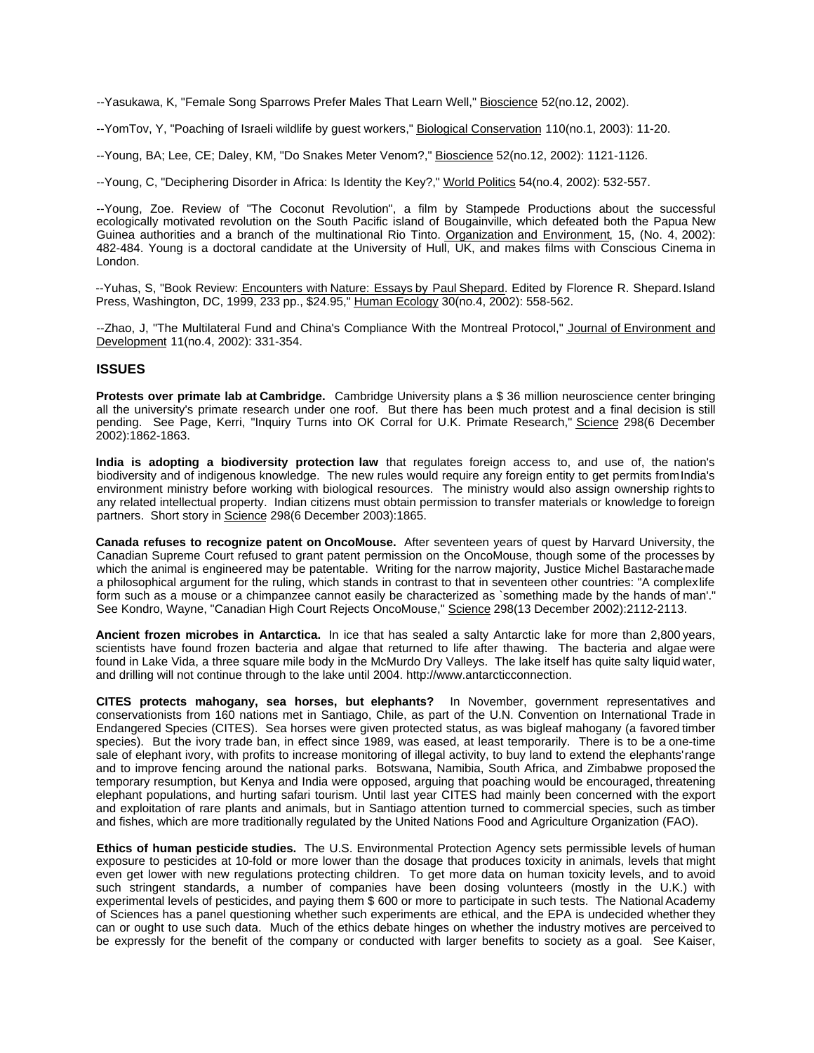--Yasukawa, K, "Female Song Sparrows Prefer Males That Learn Well," Bioscience 52(no.12, 2002).

--YomTov, Y, "Poaching of Israeli wildlife by guest workers," Biological Conservation 110(no.1, 2003): 11-20.

--Young, BA; Lee, CE; Daley, KM, "Do Snakes Meter Venom?," Bioscience 52(no.12, 2002): 1121-1126.

--Young, C, "Deciphering Disorder in Africa: Is Identity the Key?," World Politics 54(no.4, 2002): 532-557.

--Young, Zoe. Review of "The Coconut Revolution", a film by Stampede Productions about the successful ecologically motivated revolution on the South Pacific island of Bougainville, which defeated both the Papua New Guinea authorities and a branch of the multinational Rio Tinto. Organization and Environment, 15, (No. 4, 2002): 482-484. Young is a doctoral candidate at the University of Hull, UK, and makes films with Conscious Cinema in London.

--Yuhas, S, "Book Review: Encounters with Nature: Essays by Paul Shepard. Edited by Florence R. Shepard. Island Press, Washington, DC, 1999, 233 pp., \$24.95," Human Ecology 30(no.4, 2002): 558-562.

--Zhao, J, "The Multilateral Fund and China's Compliance With the Montreal Protocol," Journal of Environment and Development 11(no.4, 2002): 331-354.

## **ISSUES**

**Protests over primate lab at Cambridge.** Cambridge University plans a \$ 36 million neuroscience center bringing all the university's primate research under one roof. But there has been much protest and a final decision is still pending. See Page, Kerri, "Inquiry Turns into OK Corral for U.K. Primate Research," Science 298(6 December 2002):1862-1863.

**India is adopting a biodiversity protection law** that regulates foreign access to, and use of, the nation's biodiversity and of indigenous knowledge. The new rules would require any foreign entity to get permits from India's environment ministry before working with biological resources. The ministry would also assign ownership rights to any related intellectual property. Indian citizens must obtain permission to transfer materials or knowledge to foreign partners. Short story in Science 298(6 December 2003):1865.

**Canada refuses to recognize patent on OncoMouse.** After seventeen years of quest by Harvard University, the Canadian Supreme Court refused to grant patent permission on the OncoMouse, though some of the processes by which the animal is engineered may be patentable. Writing for the narrow majority, Justice Michel Bastarachemade a philosophical argument for the ruling, which stands in contrast to that in seventeen other countries: "A complex life form such as a mouse or a chimpanzee cannot easily be characterized as `something made by the hands of man'." See Kondro, Wayne, "Canadian High Court Rejects OncoMouse," Science 298(13 December 2002):2112-2113.

**Ancient frozen microbes in Antarctica.** In ice that has sealed a salty Antarctic lake for more than 2,800 years, scientists have found frozen bacteria and algae that returned to life after thawing. The bacteria and algae were found in Lake Vida, a three square mile body in the McMurdo Dry Valleys. The lake itself has quite salty liquid water, and drilling will not continue through to the lake until 2004. http://www.antarcticconnection.

**CITES protects mahogany, sea horses, but elephants?** In November, government representatives and conservationists from 160 nations met in Santiago, Chile, as part of the U.N. Convention on International Trade in Endangered Species (CITES). Sea horses were given protected status, as was bigleaf mahogany (a favored timber species). But the ivory trade ban, in effect since 1989, was eased, at least temporarily. There is to be a one-time sale of elephant ivory, with profits to increase monitoring of illegal activity, to buy land to extend the elephants' range and to improve fencing around the national parks. Botswana, Namibia, South Africa, and Zimbabwe proposed the temporary resumption, but Kenya and India were opposed, arguing that poaching would be encouraged, threatening elephant populations, and hurting safari tourism. Until last year CITES had mainly been concerned with the export and exploitation of rare plants and animals, but in Santiago attention turned to commercial species, such as timber and fishes, which are more traditionally regulated by the United Nations Food and Agriculture Organization (FAO).

**Ethics of human pesticide studies.** The U.S. Environmental Protection Agency sets permissible levels of human exposure to pesticides at 10-fold or more lower than the dosage that produces toxicity in animals, levels that might even get lower with new regulations protecting children. To get more data on human toxicity levels, and to avoid such stringent standards, a number of companies have been dosing volunteers (mostly in the U.K.) with experimental levels of pesticides, and paying them \$ 600 or more to participate in such tests. The National Academy of Sciences has a panel questioning whether such experiments are ethical, and the EPA is undecided whether they can or ought to use such data. Much of the ethics debate hinges on whether the industry motives are perceived to be expressly for the benefit of the company or conducted with larger benefits to society as a goal. See Kaiser,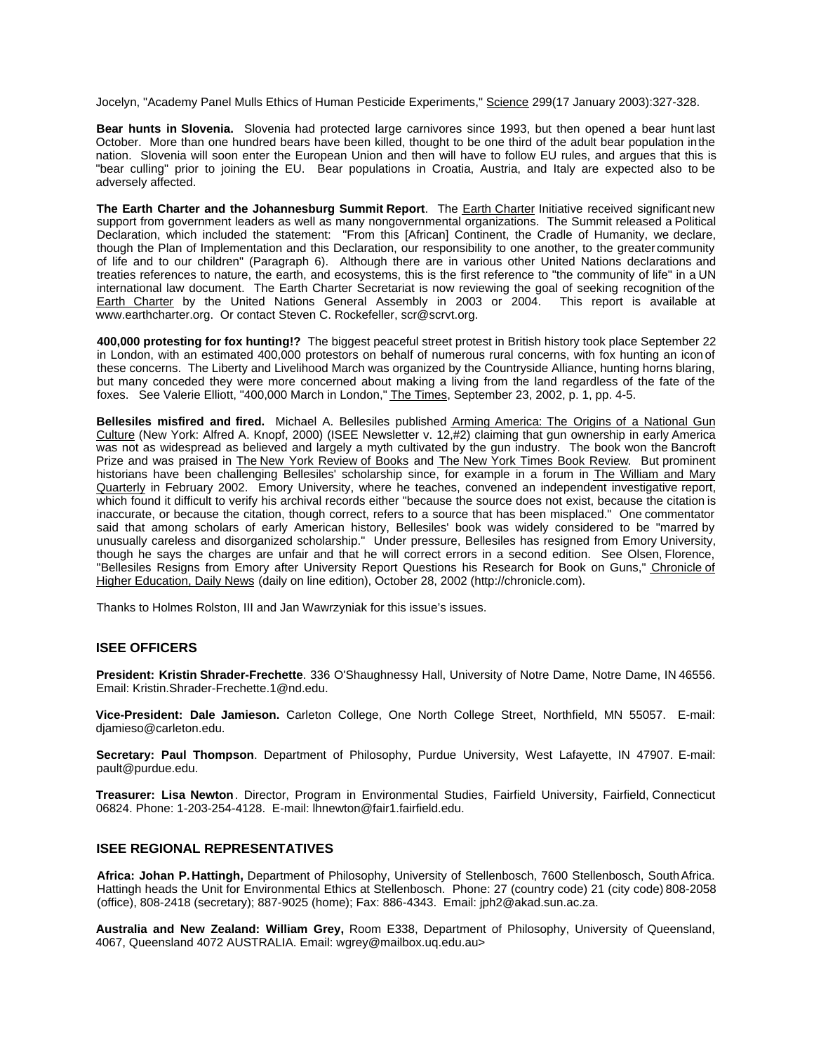Jocelyn, "Academy Panel Mulls Ethics of Human Pesticide Experiments," Science 299(17 January 2003):327-328.

**Bear hunts in Slovenia.** Slovenia had protected large carnivores since 1993, but then opened a bear hunt last October. More than one hundred bears have been killed, thought to be one third of the adult bear population in the nation. Slovenia will soon enter the European Union and then will have to follow EU rules, and argues that this is "bear culling" prior to joining the EU. Bear populations in Croatia, Austria, and Italy are expected also to be adversely affected.

**The Earth Charter and the Johannesburg Summit Report**. The Earth Charter Initiative received significant new support from government leaders as well as many nongovernmental organizations. The Summit released a Political Declaration, which included the statement: "From this [African] Continent, the Cradle of Humanity, we declare, though the Plan of Implementation and this Declaration, our responsibility to one another, to the greater community of life and to our children" (Paragraph 6). Although there are in various other United Nations declarations and treaties references to nature, the earth, and ecosystems, this is the first reference to "the community of life" in a UN international law document. The Earth Charter Secretariat is now reviewing the goal of seeking recognition of the Earth Charter by the United Nations General Assembly in 2003 or 2004. This report is available at www.earthcharter.org. Or contact Steven C. Rockefeller, scr@scrvt.org.

**400,000 protesting for fox hunting!?** The biggest peaceful street protest in British history took place September 22 in London, with an estimated 400,000 protestors on behalf of numerous rural concerns, with fox hunting an icon of these concerns. The Liberty and Livelihood March was organized by the Countryside Alliance, hunting horns blaring, but many conceded they were more concerned about making a living from the land regardless of the fate of the foxes. See Valerie Elliott, "400,000 March in London," The Times, September 23, 2002, p. 1, pp. 4-5.

**Bellesiles misfired and fired.** Michael A. Bellesiles published Arming America: The Origins of a National Gun Culture (New York: Alfred A. Knopf, 2000) (ISEE Newsletter v. 12,#2) claiming that gun ownership in early America was not as widespread as believed and largely a myth cultivated by the gun industry. The book won the Bancroft Prize and was praised in **The New York Review of Books** and **The New York Times Book Review**. But prominent historians have been challenging Bellesiles' scholarship since, for example in a forum in The William and Mary Quarterly in February 2002. Emory University, where he teaches, convened an independent investigative report, which found it difficult to verify his archival records either "because the source does not exist, because the citation is inaccurate, or because the citation, though correct, refers to a source that has been misplaced." One commentator said that among scholars of early American history, Bellesiles' book was widely considered to be "marred by unusually careless and disorganized scholarship." Under pressure, Bellesiles has resigned from Emory University, though he says the charges are unfair and that he will correct errors in a second edition. See Olsen, Florence, "Bellesiles Resigns from Emory after University Report Questions his Research for Book on Guns," Chronicle of Higher Education, Daily News (daily on line edition), October 28, 2002 (http://chronicle.com).

Thanks to Holmes Rolston, III and Jan Wawrzyniak for this issue's issues.

## **ISEE OFFICERS**

**President: Kristin Shrader-Frechette**. 336 O'Shaughnessy Hall, University of Notre Dame, Notre Dame, IN 46556. Email: Kristin.Shrader-Frechette.1@nd.edu.

**Vice-President: Dale Jamieson.** Carleton College, One North College Street, Northfield, MN 55057. E-mail: djamieso@carleton.edu.

**Secretary: Paul Thompson**. Department of Philosophy, Purdue University, West Lafayette, IN 47907. E-mail: pault@purdue.edu.

**Treasurer: Lisa Newton**. Director, Program in Environmental Studies, Fairfield University, Fairfield, Connecticut 06824. Phone: 1-203-254-4128. E-mail: lhnewton@fair1.fairfield.edu.

### **ISEE REGIONAL REPRESENTATIVES**

**Africa: Johan P. Hattingh,** Department of Philosophy, University of Stellenbosch, 7600 Stellenbosch, South Africa. Hattingh heads the Unit for Environmental Ethics at Stellenbosch. Phone: 27 (country code) 21 (city code) 808-2058 (office), 808-2418 (secretary); 887-9025 (home); Fax: 886-4343. Email: jph2@akad.sun.ac.za.

**Australia and New Zealand: William Grey,** Room E338, Department of Philosophy, University of Queensland, 4067, Queensland 4072 AUSTRALIA. Email: wgrey@mailbox.uq.edu.au>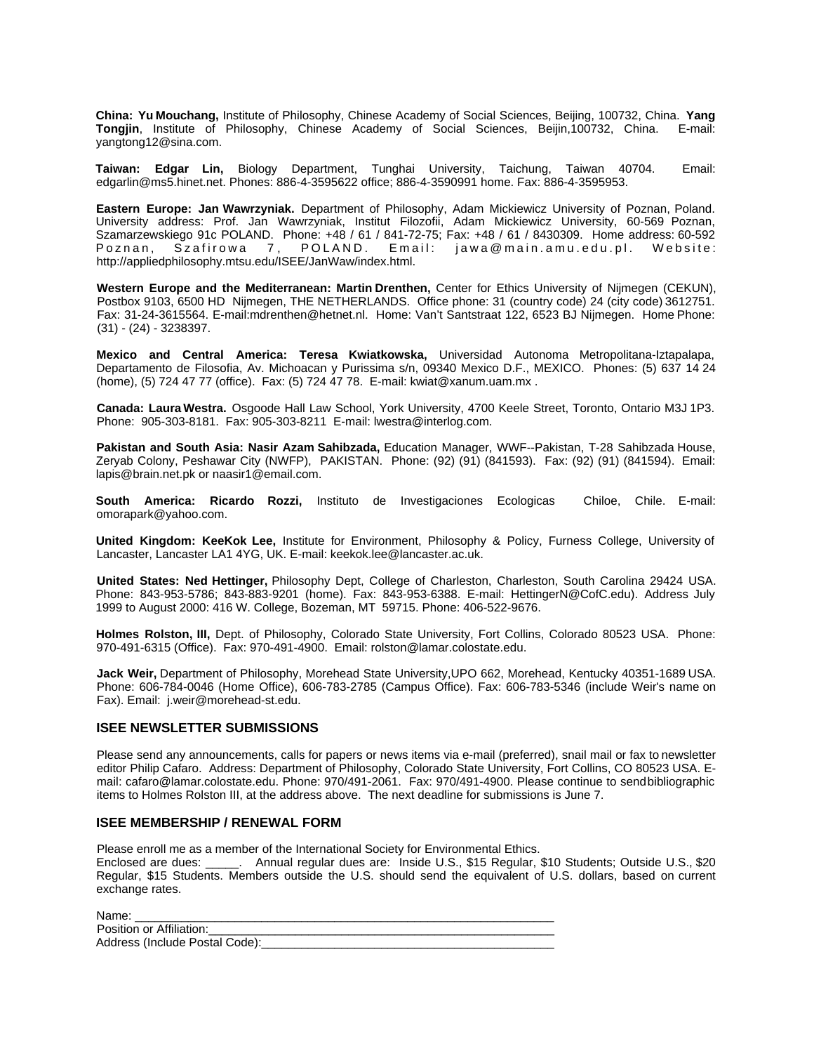**China: Yu Mouchang,** Institute of Philosophy, Chinese Academy of Social Sciences, Beijing, 100732, China. **Yang Tongjin**, Institute of Philosophy, Chinese Academy of Social Sciences, Beijin,100732, China. yangtong12@sina.com.

**Taiwan: Edgar Lin,** Biology Department, Tunghai University, Taichung, Taiwan 40704. Email: edgarlin@ms5.hinet.net. Phones: 886-4-3595622 office; 886-4-3590991 home. Fax: 886-4-3595953.

**Eastern Europe: Jan Wawrzyniak.** Department of Philosophy, Adam Mickiewicz University of Poznan, Poland. University address: Prof. Jan Wawrzyniak, Institut Filozofii, Adam Mickiewicz University, 60-569 Poznan, Szamarzewskiego 91c POLAND. Phone: +48 / 61 / 841-72-75; Fax: +48 / 61 / 8430309. Home address: 60-592 Poznan, Szafirowa 7, POLAND. Email: jawa@main.amu.edu.pl. Website: http://appliedphilosophy.mtsu.edu/ISEE/JanWaw/index.html.

**Western Europe and the Mediterranean: Martin Drenthen,** Center for Ethics University of Nijmegen (CEKUN), Postbox 9103, 6500 HD Nijmegen, THE NETHERLANDS. Office phone: 31 (country code) 24 (city code) 3612751. Fax: 31-24-3615564. E-mail:mdrenthen@hetnet.nl. Home: Van't Santstraat 122, 6523 BJ Nijmegen. Home Phone: (31) - (24) - 3238397.

**Mexico and Central America: Teresa Kwiatkowska,** Universidad Autonoma Metropolitana-Iztapalapa, Departamento de Filosofia, Av. Michoacan y Purissima s/n, 09340 Mexico D.F., MEXICO. Phones: (5) 637 14 24 (home), (5) 724 47 77 (office). Fax: (5) 724 47 78. E-mail: kwiat@xanum.uam.mx .

**Canada: Laura Westra.** Osgoode Hall Law School, York University, 4700 Keele Street, Toronto, Ontario M3J 1P3. Phone: 905-303-8181. Fax: 905-303-8211 E-mail: lwestra@interlog.com.

**Pakistan and South Asia: Nasir Azam Sahibzada,** Education Manager, WWF--Pakistan, T-28 Sahibzada House, Zeryab Colony, Peshawar City (NWFP), PAKISTAN. Phone: (92) (91) (841593). Fax: (92) (91) (841594). Email: lapis@brain.net.pk or naasir1@email.com.

**South America: Ricardo Rozzi,** Instituto de Investigaciones Ecologicas Chiloe, Chile. E-mail: omorapark@yahoo.com.

**United Kingdom: KeeKok Lee,** Institute for Environment, Philosophy & Policy, Furness College, University of Lancaster, Lancaster LA1 4YG, UK. E-mail: keekok.lee@lancaster.ac.uk.

**United States: Ned Hettinger,** Philosophy Dept, College of Charleston, Charleston, South Carolina 29424 USA. Phone: 843-953-5786; 843-883-9201 (home). Fax: 843-953-6388. E-mail: HettingerN@CofC.edu). Address July 1999 to August 2000: 416 W. College, Bozeman, MT 59715. Phone: 406-522-9676.

**Holmes Rolston, III,** Dept. of Philosophy, Colorado State University, Fort Collins, Colorado 80523 USA. Phone: 970-491-6315 (Office). Fax: 970-491-4900. Email: rolston@lamar.colostate.edu.

**Jack Weir,** Department of Philosophy, Morehead State University,UPO 662, Morehead, Kentucky 40351-1689 USA. Phone: 606-784-0046 (Home Office), 606-783-2785 (Campus Office). Fax: 606-783-5346 (include Weir's name on Fax). Email: j.weir@morehead-st.edu.

## **ISEE NEWSLETTER SUBMISSIONS**

Please send any announcements, calls for papers or news items via e-mail (preferred), snail mail or fax to newsletter editor Philip Cafaro. Address: Department of Philosophy, Colorado State University, Fort Collins, CO 80523 USA. Email: cafaro@lamar.colostate.edu. Phone: 970/491-2061. Fax: 970/491-4900. Please continue to send bibliographic items to Holmes Rolston III, at the address above. The next deadline for submissions is June 7.

# **ISEE MEMBERSHIP / RENEWAL FORM**

Please enroll me as a member of the International Society for Environmental Ethics.

Enclosed are dues: \_\_\_\_\_. Annual regular dues are: Inside U.S., \$15 Regular, \$10 Students; Outside U.S., \$20 Regular, \$15 Students. Members outside the U.S. should send the equivalent of U.S. dollars, based on current exchange rates.

| Name:                          |  |
|--------------------------------|--|
| Position or Affiliation:       |  |
| Address (Include Postal Code): |  |